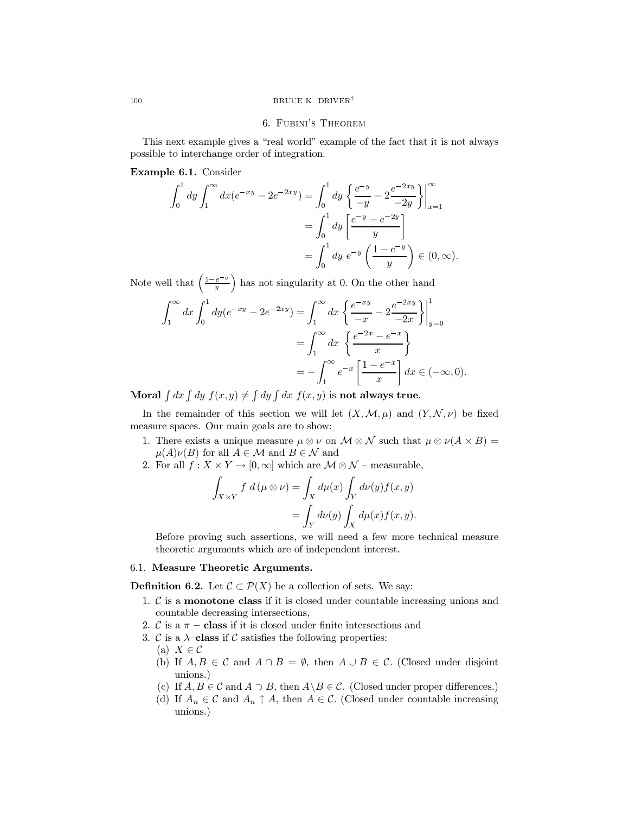#### 6. FUBINI'S THEOREM

This next example gives a "real world" example of the fact that it is not always possible to interchange order of integration.

Example 6.1. Consider

$$
\int_0^1 dy \int_1^\infty dx (e^{-xy} - 2e^{-2xy}) = \int_0^1 dy \left\{ \frac{e^{-y}}{-y} - 2\frac{e^{-2xy}}{-2y} \right\} \Big|_{x=1}^\infty
$$

$$
= \int_0^1 dy \left[ \frac{e^{-y} - e^{-2y}}{y} \right]
$$

$$
= \int_0^1 dy e^{-y} \left( \frac{1 - e^{-y}}{y} \right) \in (0, \infty).
$$

Note well that  $\left(\frac{1-e^{-y}}{y}\right)$  has not singularity at 0. On the other hand

$$
\int_{1}^{\infty} dx \int_{0}^{1} dy (e^{-xy} - 2e^{-2xy}) = \int_{1}^{\infty} dx \left\{ \frac{e^{-xy}}{-x} - 2 \frac{e^{-2xy}}{-2x} \right\} \Big|_{y=0}^{1}
$$

$$
= \int_{1}^{\infty} dx \left\{ \frac{e^{-2x} - e^{-x}}{x} \right\}
$$

$$
= -\int_{1}^{\infty} e^{-x} \left[ \frac{1 - e^{-x}}{x} \right] dx \in (-\infty, 0).
$$

Moral  $\int dx \int dy f(x, y) \neq \int dy \int dx f(x, y)$  is not always true.

In the remainder of this section we will let  $(X, \mathcal{M}, \mu)$  and  $(Y, \mathcal{N}, \nu)$  be fixed measure spaces. Our main goals are to show:

- 1. There exists a unique measure  $\mu \otimes \nu$  on  $\mathcal{M} \otimes \mathcal{N}$  such that  $\mu \otimes \nu(A \times B) =$  $\mu(A)\nu(B)$  for all  $A \in \mathcal{M}$  and  $B \in \mathcal{N}$  and
- 2. For all  $f: X \times Y \to [0, \infty]$  which are  $\mathcal{M} \otimes \mathcal{N}$  measurable,

$$
\int_{X \times Y} f d(\mu \otimes \nu) = \int_X d\mu(x) \int_Y d\nu(y) f(x, y)
$$

$$
= \int_Y d\nu(y) \int_X d\mu(x) f(x, y).
$$

Before proving such assertions, we will need a few more technical measure theoretic arguments which are of independent interest.

## 6.1. Measure Theoretic Arguments.

**Definition 6.2.** Let  $\mathcal{C} \subset \mathcal{P}(X)$  be a collection of sets. We say:

- 1.  $\mathcal C$  is a **monotone class** if it is closed under countable increasing unions and countable decreasing intersections,
- 2.  $\mathcal{C}$  is a  $\pi$  class if it is closed under finite intersections and
- 3.  $\mathcal C$  is a  $\lambda$ -class if  $\mathcal C$  satisfies the following properties:
	- (a)  $X \in \mathcal{C}$
	- (b) If  $A, B \in \mathcal{C}$  and  $A \cap B = \emptyset$ , then  $A \cup B \in \mathcal{C}$ . (Closed under disjoint unions.)
	- (c) If  $A, B \in \mathcal{C}$  and  $A \supset B$ , then  $A \setminus B \in \mathcal{C}$ . (Closed under proper differences.)
	- (d) If  $A_n \in \mathcal{C}$  and  $A_n \uparrow A$ , then  $A \in \mathcal{C}$ . (Closed under countable increasing unions.)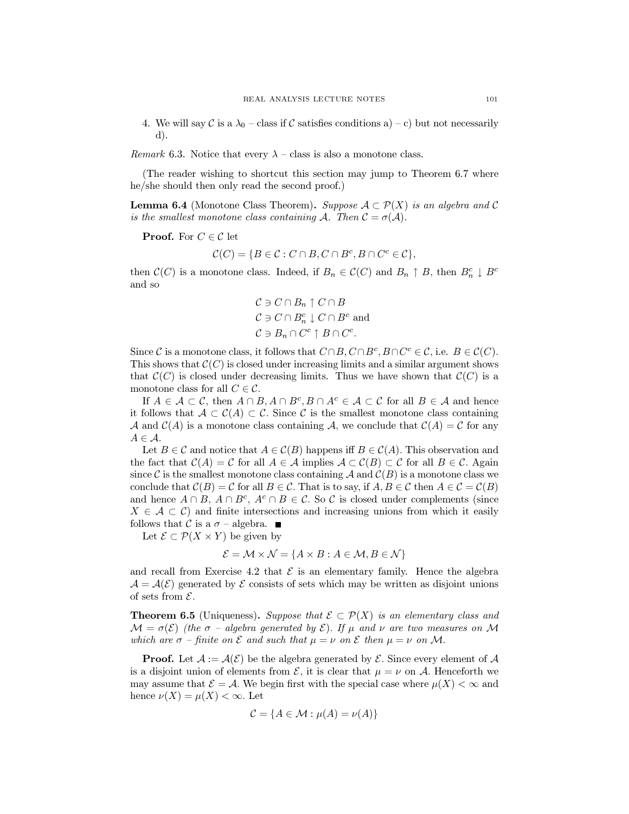4. We will say C is a  $\lambda_0$  – class if C satisfies conditions a) – c) but not necessarily  $\mathbf{d}$ .

*Remark* 6.3. Notice that every  $\lambda$  – class is also a monotone class.

(The reader wishing to shortcut this section may jump to Theorem 6.7 where he/she should then only read the second proof.)

**Lemma 6.4** (Monotone Class Theorem). Suppose  $A \subset \mathcal{P}(X)$  is an algebra and C is the smallest monotone class containing A. Then  $\mathcal{C} = \sigma(\mathcal{A})$ .

**Proof.** For  $C \in \mathcal{C}$  let

$$
\mathcal{C}(C) = \{ B \in \mathcal{C} : C \cap B, C \cap B^c, B \cap C^c \in \mathcal{C} \}.
$$

then  $\mathcal{C}(C)$  is a monotone class. Indeed, if  $B_n \in \mathcal{C}(C)$  and  $B_n \uparrow B$ , then  $B_n^c \downarrow B^c$ and so

$$
C \ni C \cap B_n \uparrow C \cap B
$$
  
\n
$$
C \ni C \cap B_n^c \downarrow C \cap B^c
$$
 and  
\n
$$
C \ni B_n \cap C^c \uparrow B \cap C^c.
$$

Since C is a monotone class, it follows that  $C \cap B$ ,  $C \cap B^c$ ,  $B \cap C^c \in \mathcal{C}$ , i.e.  $B \in \mathcal{C}(C)$ . This shows that  $\mathcal{C}(C)$  is closed under increasing limits and a similar argument shows that  $\mathcal{C}(C)$  is closed under decreasing limits. Thus we have shown that  $\mathcal{C}(C)$  is a monotone class for all  $C \in \mathcal{C}$ .

If  $A \in \mathcal{A} \subset \mathcal{C}$ , then  $A \cap B$ ,  $A \cap B^c$ ,  $B \cap A^c \in \mathcal{A} \subset \mathcal{C}$  for all  $B \in \mathcal{A}$  and hence it follows that  $A \subset C(A) \subset C$ . Since C is the smallest monotone class containing A and  $\mathcal{C}(A)$  is a monotone class containing A, we conclude that  $\mathcal{C}(A) = \mathcal{C}$  for any  $A \in \mathcal{A}$ .

Let  $B \in \mathcal{C}$  and notice that  $A \in \mathcal{C}(B)$  happens iff  $B \in \mathcal{C}(A)$ . This observation and the fact that  $C(A) = C$  for all  $A \in \mathcal{A}$  implies  $A \subset C(B) \subset C$  for all  $B \in \mathcal{C}$ . Again since C is the smallest monotone class containing A and  $\mathcal{C}(B)$  is a monotone class we conclude that  $\mathcal{C}(B) = \mathcal{C}$  for all  $B \in \mathcal{C}$ . That is to say, if  $A, B \in \mathcal{C}$  then  $A \in \mathcal{C} = \mathcal{C}(B)$ and hence  $A \cap B$ ,  $A \cap B^c$ ,  $A^c \cap B \in \mathcal{C}$ . So C is closed under complements (since  $X \in \mathcal{A} \subset \mathcal{C}$  and finite intersections and increasing unions from which it easily follows that C is a  $\sigma$  - algebra.  $\blacksquare$ 

Let  $\mathcal{E} \subset \mathcal{P}(X \times Y)$  be given by

$$
\mathcal{E} = \mathcal{M} \times \mathcal{N} = \{A \times B : A \in \mathcal{M}, B \in \mathcal{N}\}\
$$

and recall from Exercise 4.2 that  $\mathcal E$  is an elementary family. Hence the algebra  $\mathcal{A} = \mathcal{A}(\mathcal{E})$  generated by  $\mathcal E$  consists of sets which may be written as disjoint unions of sets from  $\mathcal{E}$ .

**Theorem 6.5** (Uniqueness). Suppose that  $\mathcal{E} \subset \mathcal{P}(X)$  is an elementary class and  $\mathcal{M} = \sigma(\mathcal{E})$  (the  $\sigma$  - algebra generated by  $\mathcal{E}$ ). If  $\mu$  and  $\nu$  are two measures on M which are  $\sigma$  – finite on  $\mathcal E$  and such that  $\mu = \nu$  on  $\mathcal E$  then  $\mu = \nu$  on M.

**Proof.** Let  $A := \mathcal{A}(\mathcal{E})$  be the algebra generated by  $\mathcal{E}$ . Since every element of  $\mathcal{A}$ is a disjoint union of elements from  $\mathcal{E}$ , it is clear that  $\mu = \nu$  on A. Henceforth we may assume that  $\mathcal{E} = \mathcal{A}$ . We begin first with the special case where  $\mu(X) < \infty$  and hence  $\nu(X) = \mu(X) < \infty$ . Let

$$
\mathcal{C} = \{A \in \mathcal{M} : \mu(A) = \nu(A)\}
$$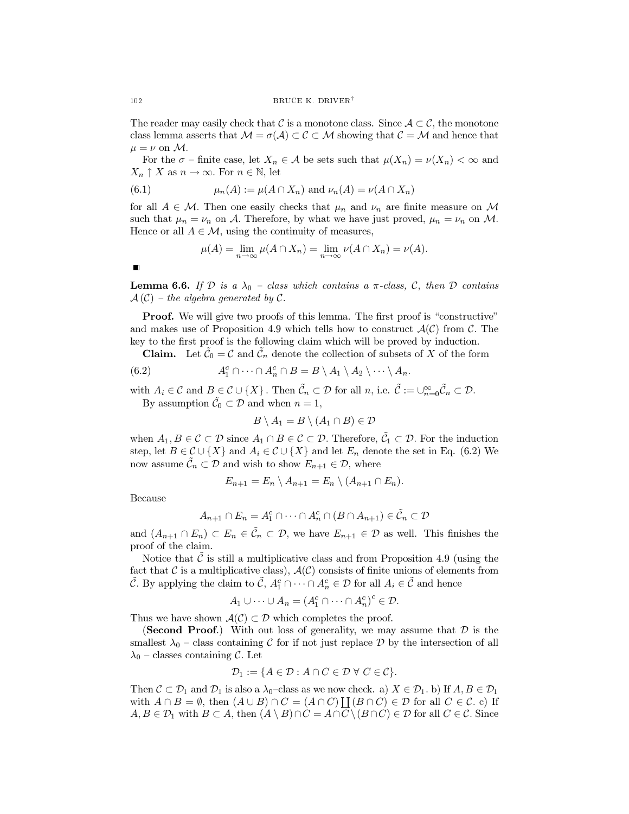The reader may easily check that C is a monotone class. Since  $A \subset \mathcal{C}$ , the monotone class lemma asserts that  $\mathcal{M} = \sigma(\mathcal{A}) \subset \mathcal{C} \subset \mathcal{M}$  showing that  $\mathcal{C} = \mathcal{M}$  and hence that  $\mu = \nu$  on M.

For the  $\sigma$  - finite case, let  $X_n \in \mathcal{A}$  be sets such that  $\mu(X_n) = \nu(X_n) < \infty$  and  $X_n \uparrow X$  as  $n \to \infty$ . For  $n \in \mathbb{N}$ , let

(6.1) 
$$
\mu_n(A) := \mu(A \cap X_n) \text{ and } \nu_n(A) = \nu(A \cap X_n)
$$

for all  $A \in \mathcal{M}$ . Then one easily checks that  $\mu_n$  and  $\nu_n$  are finite measure on M such that  $\mu_n = \nu_n$  on A. Therefore, by what we have just proved,  $\mu_n = \nu_n$  on M. Hence or all  $A \in \mathcal{M}$ , using the continuity of measures,

$$
\mu(A) = \lim_{n \to \infty} \mu(A \cap X_n) = \lim_{n \to \infty} \nu(A \cap X_n) = \nu(A).
$$

 $\blacksquare$ 

**Lemma 6.6.** If  $D$  is a  $\lambda_0$  - class which contains a  $\pi$ -class,  $C$ , then  $D$  contains  $\mathcal{A}(\mathcal{C})$  – the algebra generated by  $\mathcal{C}.$ 

**Proof.** We will give two proofs of this lemma. The first proof is "constructive" and makes use of Proposition 4.9 which tells how to construct  $\mathcal{A}(\mathcal{C})$  from  $\mathcal{C}$ . The key to the first proof is the following claim which will be proved by induction.

Claim. Let  $\tilde{\mathcal{C}}_0 = \mathcal{C}$  and  $\tilde{\mathcal{C}}_n$  denote the collection of subsets of X of the form

(6.2) 
$$
A_1^c \cap \cdots \cap A_n^c \cap B = B \setminus A_1 \setminus A_2 \setminus \cdots \setminus A_n.
$$

with  $A_i \in \mathcal{C}$  and  $B \subsetneq \mathcal{C} \cup \{X\}$ . Then  $\tilde{\mathcal{C}}_n \subset \mathcal{D}$  for all  $n$ , i.e.  $\tilde{\mathcal{C}} := \bigcup_{n=0}^{\infty} \tilde{\mathcal{C}}_n \subset \mathcal{D}$ . By assumption  $\tilde{C}_0 \subset \mathcal{D}$  and when  $n = 1$ ,

$$
B \setminus A_1 = B \setminus (A_1 \cap B) \in \mathcal{D}
$$

when  $A_1, B \in \mathcal{C} \subset \mathcal{D}$  since  $A_1 \cap B \in \mathcal{C} \subset \mathcal{D}$ . Therefore,  $\tilde{\mathcal{C}}_1 \subset \mathcal{D}$ . For the induction step, let  $B \in \mathcal{C} \cup \{X\}$  and  $A_i \in \mathcal{C} \cup \{X\}$  and let  $E_n$  denote the set in Eq. (6.2) We now assume  $\tilde{\mathcal{C}}_n \subset \mathcal{D}$  and wish to show  $E_{n+1} \in \mathcal{D}$ , where

$$
E_{n+1} = E_n \setminus A_{n+1} = E_n \setminus (A_{n+1} \cap E_n).
$$

Because

$$
A_{n+1} \cap E_n = A_1^c \cap \dots \cap A_n^c \cap (B \cap A_{n+1}) \in \tilde{C}_n \subset \mathcal{D}
$$

and  $(A_{n+1} \cap E_n) \subset E_n \in \tilde{\mathcal{C}}_n \subset \mathcal{D}$ , we have  $E_{n+1} \in \mathcal{D}$  as well. This finishes the proof of the claim.

Notice that  $\tilde{\mathcal{C}}$  is still a multiplicative class and from Proposition 4.9 (using the fact that  $\mathcal C$  is a multiplicative class),  $\mathcal A(\mathcal C)$  consists of finite unions of elements from  $\tilde{C}$ . By applying the claim to  $\tilde{C}$ ,  $A_1^c \cap \cdots \cap A_n^c \in \mathcal{D}$  for all  $A_i \in \tilde{C}$  and hence

$$
A_1 \cup \cdots \cup A_n = (A_1^c \cap \cdots \cap A_n^c)^c \in \mathcal{D}.
$$

Thus we have shown  $\mathcal{A}(\mathcal{C}) \subset \mathcal{D}$  which completes the proof.

(Second Proof.) With out loss of generality, we may assume that  $\mathcal D$  is the smallest  $\lambda_0$  – class containing C for if not just replace D by the intersection of all  $\lambda_0$  – classes containing C. Let

$$
\mathcal{D}_1 := \{ A \in \mathcal{D} : A \cap C \in \mathcal{D} \ \forall \ C \in \mathcal{C} \}.
$$

Then  $C \subset \mathcal{D}_1$  and  $\mathcal{D}_1$  is also a  $\lambda_0$ -class as we now check. a)  $X \in \mathcal{D}_1$ . b) If  $A, B \in \mathcal{D}_1$ with  $A \cap B = \emptyset$ , then  $(A \cup B) \cap C = (A \cap C) \coprod (B \cap C) \in \mathcal{D}$  for all  $C \in \mathcal{C}$ , c) If  $A, B \in \mathcal{D}_1$  with  $B \subset A$ , then  $(A \setminus B) \cap C = A \cap C \setminus (B \cap C) \in \mathcal{D}$  for all  $C \in \mathcal{C}$ . Since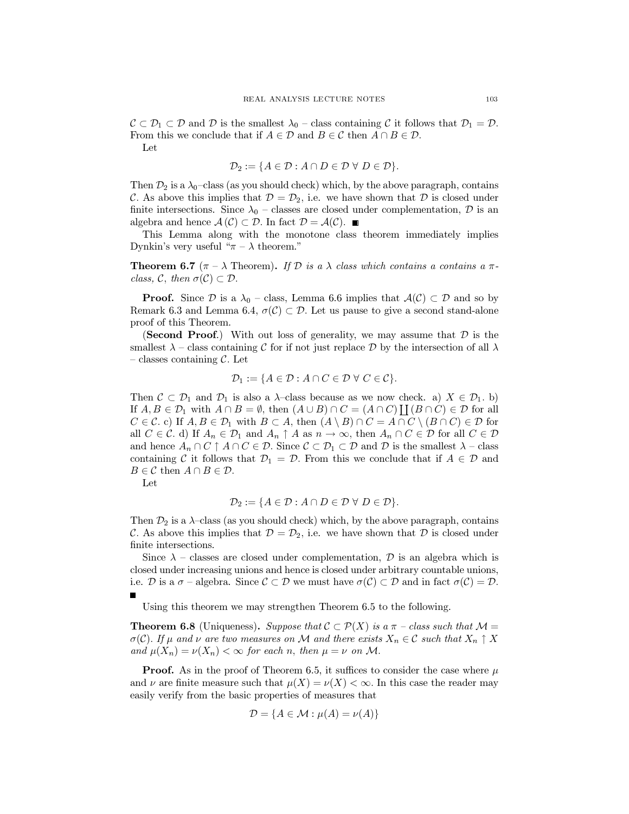$\mathcal{C} \subset \mathcal{D}_1 \subset \mathcal{D}$  and  $\mathcal{D}$  is the smallest  $\lambda_0$  – class containing  $\mathcal{C}$  it follows that  $\mathcal{D}_1 = \mathcal{D}$ . From this we conclude that if  $A \in \mathcal{D}$  and  $B \in \mathcal{C}$  then  $A \cap B \in \mathcal{D}$ .

Let

$$
\mathcal{D}_2 := \{ A \in \mathcal{D} : A \cap D \in \mathcal{D} \ \forall \ D \in \mathcal{D} \}.
$$

Then  $\mathcal{D}_2$  is a  $\lambda_0$ -class (as you should check) which, by the above paragraph, contains C. As above this implies that  $\mathcal{D} = \mathcal{D}_2$ , i.e. we have shown that  $\mathcal D$  is closed under finite intersections. Since  $\lambda_0$  – classes are closed under complementation, D is an algebra and hence  $\mathcal{A}(\mathcal{C}) \subset \mathcal{D}$ . In fact  $\mathcal{D} = \mathcal{A}(\mathcal{C})$ .

This Lemma along with the monotone class theorem immediately implies Dynkin's very useful " $\pi - \lambda$  theorem."

**Theorem 6.7** ( $\pi - \lambda$  Theorem). If D is a  $\lambda$  class which contains a contains a  $\pi$ class, C, then  $\sigma(\mathcal{C}) \subset \mathcal{D}$ .

**Proof.** Since  $\mathcal{D}$  is a  $\lambda_0$  – class, Lemma 6.6 implies that  $\mathcal{A}(\mathcal{C}) \subset \mathcal{D}$  and so by Remark 6.3 and Lemma 6.4,  $\sigma(\mathcal{C}) \subset \mathcal{D}$ . Let us pause to give a second stand-alone proof of this Theorem.

**(Second Proof.)** With out loss of generality, we may assume that  $\mathcal{D}$  is the smallest  $\lambda$  – class containing C for if not just replace D by the intersection of all  $\lambda$ - classes containing  $\mathcal{C}$ . Let

$$
\mathcal{D}_1 := \{ A \in \mathcal{D} : A \cap C \in \mathcal{D} \,\,\forall \,\, C \in \mathcal{C} \}.
$$

Then  $C \subset \mathcal{D}_1$  and  $\mathcal{D}_1$  is also a  $\lambda$ -class because as we now check. a)  $X \in \mathcal{D}_1$ . b) If  $A, B \in \mathcal{D}_1$  with  $A \cap B = \emptyset$ , then  $(A \cup B) \cap C = (A \cap C)$   $\bigcup (B \cap C) \in \mathcal{D}$  for all  $C \in \mathcal{C}$ . c) If  $A, B \in \mathcal{D}_1$  with  $B \subset A$ , then  $(A \setminus B) \cap C = A \cap C \setminus (B \cap C) \in \mathcal{D}$  for all  $C \in \mathcal{C}$ . d) If  $A_n \in \mathcal{D}_1$  and  $A_n \uparrow A$  as  $n \to \infty$ , then  $A_n \cap C \in \mathcal{D}$  for all  $C \in \mathcal{D}$ and hence  $A_n \cap C \uparrow A \cap C \in \mathcal{D}$ . Since  $C \subset \mathcal{D}_1 \subset \mathcal{D}$  and  $\mathcal{D}$  is the smallest  $\lambda$  - class containing C it follows that  $\mathcal{D}_1 = \mathcal{D}$ . From this we conclude that if  $A \in \mathcal{D}$  and  $B \in \mathcal{C}$  then  $A \cap B \in \mathcal{D}$ .

Let

$$
\mathcal{D}_2 := \{ A \in \mathcal{D} : A \cap D \in \mathcal{D} \ \forall \ D \in \mathcal{D} \}.
$$

Then  $\mathcal{D}_2$  is a  $\lambda$ -class (as you should check) which, by the above paragraph, contains C. As above this implies that  $\mathcal{D} = \mathcal{D}_2$ , i.e. we have shown that  $\mathcal D$  is closed under finite intersections.

Since  $\lambda$  – classes are closed under complementation,  $\mathcal{D}$  is an algebra which is closed under increasing unions and hence is closed under arbitrary countable unions, i.e. D is a  $\sigma$  - algebra. Since  $\mathcal{C} \subset \mathcal{D}$  we must have  $\sigma(\mathcal{C}) \subset \mathcal{D}$  and in fact  $\sigma(\mathcal{C}) = \mathcal{D}$ .  $\blacksquare$ 

Using this theorem we may strengthen Theorem 6.5 to the following.

**Theorem 6.8** (Uniqueness). Suppose that  $C \subset \mathcal{P}(X)$  is a  $\pi$  - class such that  $\mathcal{M} =$  $\sigma(\mathcal{C})$ . If  $\mu$  and  $\nu$  are two measures on M and there exists  $X_n \in \mathcal{C}$  such that  $X_n \uparrow X$ and  $\mu(X_n) = \nu(X_n) < \infty$  for each n, then  $\mu = \nu$  on M.

**Proof.** As in the proof of Theorem 6.5, it suffices to consider the case where  $\mu$ and  $\nu$  are finite measure such that  $\mu(X) = \nu(X) < \infty$ . In this case the reader may easily verify from the basic properties of measures that

$$
\mathcal{D} = \{A \in \mathcal{M} : \mu(A) = \nu(A)\}
$$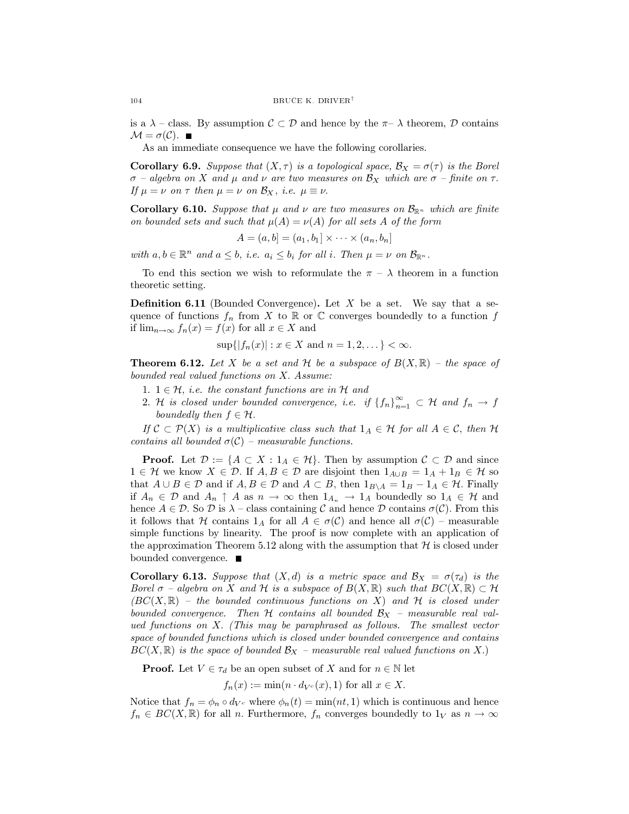is a  $\lambda$  – class. By assumption  $C \subset \mathcal{D}$  and hence by the  $\pi$ –  $\lambda$  theorem,  $\mathcal{D}$  contains  $\mathcal{M} = \sigma(\mathcal{C})$ .

As an immediate consequence we have the following corollaries.

**Corollary 6.9.** Suppose that  $(X, \tau)$  is a topological space,  $\mathcal{B}_X = \sigma(\tau)$  is the Borel  $\sigma$  – algebra on X and  $\mu$  and  $\nu$  are two measures on  $\mathcal{B}_X$  which are  $\sigma$  – finite on  $\tau$ . If  $\mu = \nu$  on  $\tau$  then  $\mu = \nu$  on  $\mathcal{B}_X$ , *i.e.*  $\mu \equiv \nu$ .

**Corollary 6.10.** Suppose that  $\mu$  and  $\nu$  are two measures on  $\mathcal{B}_{\mathbb{R}^n}$  which are finite on bounded sets and such that  $\mu(A) = \nu(A)$  for all sets A of the form

$$
A = (a, b] = (a_1, b_1] \times \cdots \times (a_n, b_n]
$$

with  $a, b \in \mathbb{R}^n$  and  $a \leq b$ , *i.e.*  $a_i \leq b_i$  for all *i*. Then  $\mu = \nu$  on  $\mathcal{B}_{\mathbb{R}^n}$ .

To end this section we wish to reformulate the  $\pi - \lambda$  theorem in a function theoretic setting.

**Definition 6.11** (Bounded Convergence). Let  $X$  be a set. We say that a sequence of functions  $f_n$  from X to R or C converges boundedly to a function f if  $\lim_{n\to\infty} f_n(x) = f(x)$  for all  $x \in X$  and

$$
\sup\{|f_n(x)| : x \in X \text{ and } n = 1, 2, ...\} < \infty.
$$

**Theorem 6.12.** Let X be a set and H be a subspace of  $B(X,\mathbb{R})$  – the space of bounded real valued functions on X. Assume:

- 1.  $1 \in \mathcal{H}$ , *i.e.* the constant functions are in  $\mathcal{H}$  and
- 2. H is closed under bounded convergence, i.e. if  $\{f_n\}_{n=1}^{\infty} \subset \mathcal{H}$  and  $f_n \to f$ boundedly then  $f \in \mathcal{H}$ .

If  $\mathcal{C} \subset \mathcal{P}(X)$  is a multiplicative class such that  $1_A \in \mathcal{H}$  for all  $A \in \mathcal{C}$ , then  $\mathcal{H}$ contains all bounded  $\sigma(C)$  – measurable functions.

**Proof.** Let  $\mathcal{D} := \{A \subset X : 1_A \in \mathcal{H}\}\$ . Then by assumption  $\mathcal{C} \subset \mathcal{D}$  and since  $1 \in \mathcal{H}$  we know  $X \in \mathcal{D}$ . If  $A, B \in \mathcal{D}$  are disjoint then  $1_{A \cup B} = 1_A + 1_B \in \mathcal{H}$  so that  $A \cup B \in \mathcal{D}$  and if  $A, B \in \mathcal{D}$  and  $A \subset B$ , then  $1_{B \setminus A} = 1_B - 1_A \in \mathcal{H}$ . Finally if  $A_n \in \mathcal{D}$  and  $A_n \uparrow A$  as  $n \to \infty$  then  $1_{A_n} \to 1_A$  boundedly so  $1_A \in \mathcal{H}$  and hence  $A \in \mathcal{D}$ . So  $\mathcal{D}$  is  $\lambda$  – class containing  $\mathcal C$  and hence  $\mathcal D$  contains  $\sigma(\mathcal C)$ . From this it follows that H contains  $1_A$  for all  $A \in \sigma(C)$  and hence all  $\sigma(C)$  – measurable simple functions by linearity. The proof is now complete with an application of the approximation Theorem 5.12 along with the assumption that  $\mathcal H$  is closed under bounded convergence.  $\blacksquare$ 

**Corollary 6.13.** Suppose that  $(X,d)$  is a metric space and  $\mathcal{B}_X = \sigma(\tau_d)$  is the Borel  $\sigma$  – algebra on X and H is a subspace of  $B(X,\mathbb{R})$  such that  $BC(X,\mathbb{R}) \subset \mathcal{H}$  $(BC(X,\mathbb{R})$  – the bounded continuous functions on X) and H is closed under bounded convergence. Then H contains all bounded  $\mathcal{B}_X$  - measurable real valued functions on X. (This may be paraphrased as follows. The smallest vector space of bounded functions which is closed under bounded convergence and contains  $BC(X,\mathbb{R})$  is the space of bounded  $\mathcal{B}_X$  – measurable real valued functions on X.)

**Proof.** Let  $V \in \tau_d$  be an open subset of X and for  $n \in \mathbb{N}$  let

$$
f_n(x) := \min(n \cdot d_{V^c}(x), 1)
$$
 for all  $x \in X$ .

Notice that  $f_n = \phi_n \circ d_{V^c}$  where  $\phi_n(t) = \min(nt, 1)$  which is continuous and hence  $f_n \in BC(X, \mathbb{R})$  for all n. Furthermore,  $f_n$  converges boundedly to  $1_V$  as  $n \to \infty$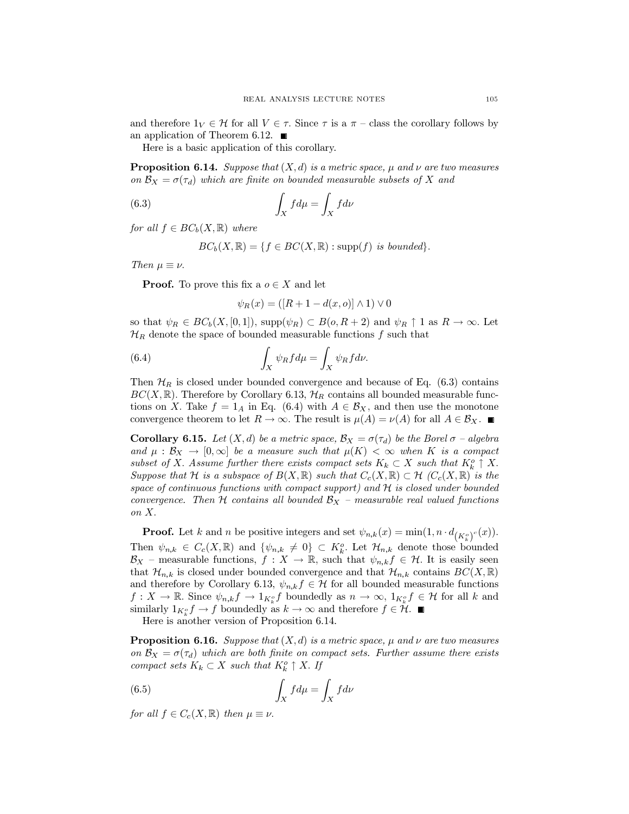and therefore  $1_V \in \mathcal{H}$  for all  $V \in \tau$ . Since  $\tau$  is a  $\pi$  – class the corollary follows by an application of Theorem 6.12.  $\blacksquare$ 

Here is a basic application of this corollary.

**Proposition 6.14.** Suppose that  $(X, d)$  is a metric space,  $\mu$  and  $\nu$  are two measures on  $\mathcal{B}_X = \sigma(\tau_d)$  which are finite on bounded measurable subsets of X and

(6.3) 
$$
\int_X f d\mu = \int_X f d\nu
$$

for all  $f \in BC_h(X, \mathbb{R})$  where

$$
BC_b(X, \mathbb{R}) = \{ f \in BC(X, \mathbb{R}) : \text{supp}(f) \text{ is bounded} \}.
$$

Then  $\mu \equiv \nu$ .

**Proof.** To prove this fix a  $o \in X$  and let

$$
\psi_R(x) = ([R + 1 - d(x, o)] \wedge 1) \vee 0
$$

so that  $\psi_R \in BC_b(X, [0, 1])$ , supp $(\psi_R) \subset B(o, R+2)$  and  $\psi_R \uparrow 1$  as  $R \to \infty$ . Let  $\mathcal{H}_R$  denote the space of bounded measurable functions f such that

(6.4) 
$$
\int_X \psi_R f d\mu = \int_X \psi_R f d\nu.
$$

Then  $\mathcal{H}_R$  is closed under bounded convergence and because of Eq. (6.3) contains  $BC(X,\mathbb{R})$ . Therefore by Corollary 6.13,  $\mathcal{H}_R$  contains all bounded measurable functions on X. Take  $f = 1_A$  in Eq. (6.4) with  $A \in \mathcal{B}_X$ , and then use the monotone convergence theorem to let  $R \to \infty$ . The result is  $\mu(A) = \nu(A)$  for all  $A \in \mathcal{B}_X$ .

**Corollary 6.15.** Let  $(X,d)$  be a metric space,  $\mathcal{B}_X = \sigma(\tau_d)$  be the Borel  $\sigma$  – algebra and  $\mu : \mathcal{B}_X \to [0,\infty]$  be a measure such that  $\mu(K) < \infty$  when K is a compact subset of X. Assume further there exists compact sets  $K_k \subset X$  such that  $K_k^c \uparrow X$ . Suppose that H is a subspace of  $B(X,\mathbb{R})$  such that  $C_c(X,\mathbb{R}) \subset H$   $(C_c(X,\mathbb{R}))$  is the space of continuous functions with compact support) and  $H$  is closed under bounded convergence. Then H contains all bounded  $\mathcal{B}_X$  – measurable real valued functions on  $X$ .

**Proof.** Let k and n be positive integers and set  $\psi_{n,k}(x) = \min(1, n \cdot d_{(K_i^o)^c}(x)).$ Then  $\psi_{n,k} \in C_c(X,\mathbb{R})$  and  $\{\psi_{n,k} \neq 0\} \subset K_k^o$ . Let  $\mathcal{H}_{n,k}$  denote those bounded  $\mathcal{B}_X$  – measurable functions,  $f : X \to \mathbb{R}$ , such that  $\psi_{n,k} f \in \mathcal{H}$ . It is easily seen that  $\mathcal{H}_{n,k}$  is closed under bounded convergence and that  $\mathcal{H}_{n,k}$  contains  $BC(X,\mathbb{R})$ and therefore by Corollary 6.13,  $\psi_{n,k} f \in \mathcal{H}$  for all bounded measurable functions  $f: X \to \mathbb{R}$ . Since  $\psi_{n,k} f \to 1_{K_k^o} f$  boundedly as  $n \to \infty$ ,  $1_{K_k^o} f \in \mathcal{H}$  for all k and similarly  $1_{K^o_t} f \to f$  boundedly as  $k \to \infty$  and therefore  $f \in \mathcal{H}$ .

Here is another version of Proposition 6.14.

**Proposition 6.16.** Suppose that  $(X, d)$  is a metric space,  $\mu$  and  $\nu$  are two measures on  $\mathcal{B}_X = \sigma(\tau_d)$  which are both finite on compact sets. Further assume there exists compact sets  $K_k \subset X$  such that  $K_k^o \uparrow X$ . If

(6.5) 
$$
\int_X f d\mu = \int_X f d\nu
$$

for all  $f \in C_c(X, \mathbb{R})$  then  $\mu \equiv \nu$ .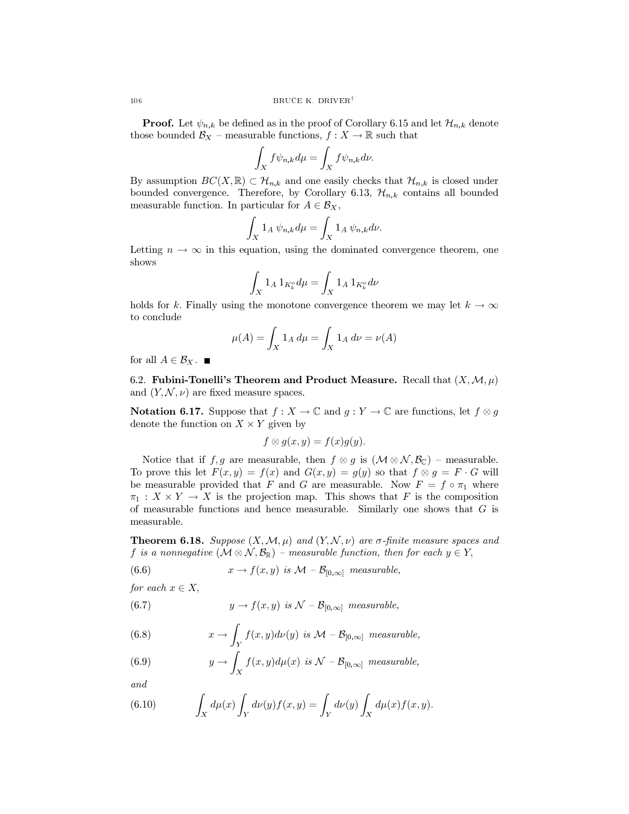**Proof.** Let  $\psi_{n,k}$  be defined as in the proof of Corollary 6.15 and let  $\mathcal{H}_{n,k}$  denote those bounded  $\mathcal{B}_X$  – measurable functions,  $f : X \to \mathbb{R}$  such that

$$
\int_X f \psi_{n,k} d\mu = \int_X f \psi_{n,k} d\nu.
$$

By assumption  $BC(X, \mathbb{R}) \subset \mathcal{H}_{n,k}$  and one easily checks that  $\mathcal{H}_{n,k}$  is closed under bounded convergence. Therefore, by Corollary 6.13,  $\mathcal{H}_{n,k}$  contains all bounded measurable function. In particular for  $A \in \mathcal{B}_X$ ,

$$
\int_X 1_A \psi_{n,k} d\mu = \int_X 1_A \psi_{n,k} d\nu.
$$

Letting  $n \to \infty$  in this equation, using the dominated convergence theorem, one shows

$$
\int_X 1_A 1_{K_k^o} d\mu = \int_X 1_A 1_{K_k^o} d\nu
$$

holds for k. Finally using the monotone convergence theorem we may let  $k \to \infty$ to conclude

$$
\mu(A) = \int_X 1_A \, d\mu = \int_X 1_A \, d\nu = \nu(A)
$$

for all  $A \in \mathcal{B}_X$ .

6.2. Fubini-Tonelli's Theorem and Product Measure. Recall that  $(X, \mathcal{M}, \mu)$ and  $(Y, \mathcal{N}, \nu)$  are fixed measure spaces.

**Notation 6.17.** Suppose that  $f: X \to \mathbb{C}$  and  $g: Y \to \mathbb{C}$  are functions, let  $f \otimes g$ denote the function on  $X \times Y$  given by

$$
f\otimes g(x,y)=f(x)g(y).
$$

Notice that if  $f, g$  are measurable, then  $f \otimes g$  is  $(\mathcal{M} \otimes \mathcal{N}, \mathcal{B}_{\mathbb{C}})$  – measurable. To prove this let  $F(x, y) = f(x)$  and  $G(x, y) = g(y)$  so that  $f \otimes g = F \cdot G$  will be measurable provided that F and G are measurable. Now  $F = f \circ \pi_1$  where  $\pi_1 : X \times Y \to X$  is the projection map. This shows that F is the composition of measurable functions and hence measurable. Similarly one shows that  $G$  is measurable.

**Theorem 6.18.** Suppose  $(X, \mathcal{M}, \mu)$  and  $(Y, \mathcal{N}, \nu)$  are  $\sigma$ -finite measure spaces and f is a nonnegative  $(M \otimes N, \mathcal{B}_{\mathbb{R}})$  – measurable function, then for each  $y \in Y$ ,

(6.6) 
$$
x \to f(x, y) \text{ is } \mathcal{M} - \mathcal{B}_{[0,\infty]} \text{ measurable},
$$

for each  $x \in X$ ,

(6.7) 
$$
y \to f(x, y) \text{ is } \mathcal{N} - \mathcal{B}_{[0,\infty]} \text{ measurable},
$$

(6.8) 
$$
x \to \int_Y f(x, y) d\nu(y) \text{ is } \mathcal{M} - \mathcal{B}_{[0,\infty]} \text{ measurable},
$$

(6.9) 
$$
y \to \int_X f(x, y) d\mu(x) \text{ is } \mathcal{N} - \mathcal{B}_{[0,\infty]} \text{ measurable,}
$$

 $and$ 

(6.10) 
$$
\int_X d\mu(x) \int_Y d\nu(y) f(x, y) = \int_Y d\nu(y) \int_X d\mu(x) f(x, y).
$$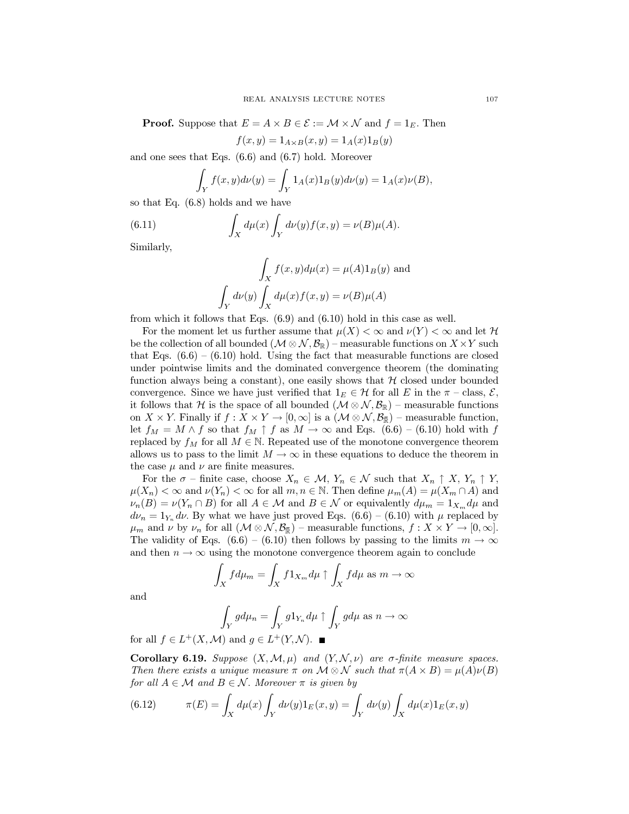**Proof.** Suppose that  $E = A \times B \in \mathcal{E} := \mathcal{M} \times \mathcal{N}$  and  $f = 1_E$ . Then

$$
f(x, y) = 1_{A \times B}(x, y) = 1_A(x)1_B(y)
$$

and one sees that Eqs.  $(6.6)$  and  $(6.7)$  hold. Moreover

$$
\int_Y f(x, y)d\nu(y) = \int_Y 1_A(x)1_B(y)d\nu(y) = 1_A(x)\nu(B),
$$

so that Eq.  $(6.8)$  holds and we have

(6.11) 
$$
\int_X d\mu(x) \int_Y d\nu(y) f(x, y) = \nu(B)\mu(A).
$$

Similarly,

$$
\int_X f(x, y)d\mu(x) = \mu(A)1_B(y)
$$
 and  

$$
\int_Y d\nu(y) \int_X d\mu(x) f(x, y) = \nu(B)\mu(A)
$$

from which it follows that Eqs.  $(6.9)$  and  $(6.10)$  hold in this case as well.

For the moment let us further assume that  $\mu(X) < \infty$  and  $\nu(Y) < \infty$  and let H be the collection of all bounded  $(\mathcal{M} \otimes \mathcal{N}, \mathcal{B}_{\mathbb{R}})$  – measurable functions on  $X \times Y$  such that Eqs.  $(6.6) - (6.10)$  hold. Using the fact that measurable functions are closed under pointwise limits and the dominated convergence theorem (the dominating function always being a constant), one easily shows that  $H$  closed under bounded convergence. Since we have just verified that  $1_E \in \mathcal{H}$  for all E in the  $\pi$  – class,  $\mathcal{E}$ , it follows that H is the space of all bounded  $(M \otimes N, \mathcal{B}_{\mathbb{R}})$  – measurable functions on  $X \times Y$ . Finally if  $f: X \times Y \to [0, \infty]$  is a  $(\mathcal{M} \otimes \mathcal{N}, \mathcal{B}_{\overline{\mathbb{R}}})$  – measurable function, let  $f_M = M \wedge f$  so that  $f_M \uparrow f$  as  $M \to \infty$  and Eqs. (6.6) – (6.10) hold with f replaced by  $f_M$  for all  $M \in \mathbb{N}$ . Repeated use of the monotone convergence theorem allows us to pass to the limit  $M \to \infty$  in these equations to deduce the theorem in the case  $\mu$  and  $\nu$  are finite measures.

For the  $\sigma$  – finite case, choose  $X_n \in \mathcal{M}$ ,  $Y_n \in \mathcal{N}$  such that  $X_n \uparrow X$ ,  $Y_n \uparrow Y$ ,  $\mu(X_n) < \infty$  and  $\nu(Y_n) < \infty$  for all  $m, n \in \mathbb{N}$ . Then define  $\mu_m(A) = \mu(X_m \cap A)$  and  $\nu_n(B) = \nu(Y_n \cap B)$  for all  $A \in \mathcal{M}$  and  $B \in \mathcal{N}$  or equivalently  $d\mu_m = 1_{X_m} d\mu$  and  $d\nu_n = 1_{Y_n} d\nu$ . By what we have just proved Eqs. (6.6) – (6.10) with  $\mu$  replaced by  $\mu_m$  and  $\nu$  by  $\nu_n$  for all  $(\mathcal{M} \otimes \mathcal{N}, \mathcal{B}_{\overline{p}})$  – measurable functions,  $f: X \times Y \to [0, \infty]$ . The validity of Eqs.  $(6.6) - (6.10)$  then follows by passing to the limits  $m \to \infty$ and then  $n \to \infty$  using the monotone convergence theorem again to conclude

$$
\int_X f d\mu_m = \int_X f 1_{X_m} d\mu \uparrow \int_X f d\mu \text{ as } m \to \infty
$$

and

$$
\int_Y g d\mu_n = \int_Y g 1_{Y_n} d\mu \uparrow \int_Y g d\mu \text{ as } n \to \infty
$$

for all  $f \in L^+(X, \mathcal{M})$  and  $g \in L^+(Y, \mathcal{N})$ .

**Corollary 6.19.** Suppose  $(X, \mathcal{M}, \mu)$  and  $(Y, \mathcal{N}, \nu)$  are  $\sigma$ -finite measure spaces. Then there exists a unique measure  $\pi$  on  $\mathcal{M} \otimes \mathcal{N}$  such that  $\pi(A \times B) = \mu(A)\nu(B)$ for all  $A \in \mathcal{M}$  and  $B \in \mathcal{N}$ . Moreover  $\pi$  is given by

(6.12) 
$$
\pi(E) = \int_X d\mu(x) \int_Y d\nu(y) 1_E(x, y) = \int_Y d\nu(y) \int_X d\mu(x) 1_E(x, y)
$$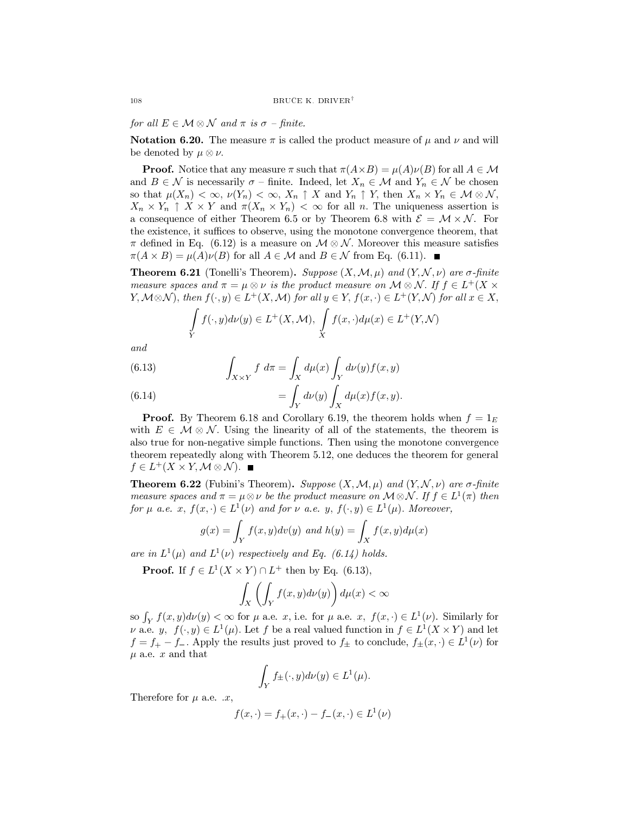for all  $E \in \mathcal{M} \otimes \mathcal{N}$  and  $\pi$  is  $\sigma$  -finite.

**Notation 6.20.** The measure  $\pi$  is called the product measure of  $\mu$  and  $\nu$  and will be denoted by  $\mu \otimes \nu$ .

**Proof.** Notice that any measure  $\pi$  such that  $\pi(A \times B) = \mu(A)\nu(B)$  for all  $A \in \mathcal{M}$ and  $B \in \mathcal{N}$  is necessarily  $\sigma$  - finite. Indeed, let  $X_n \in \mathcal{M}$  and  $Y_n \in \mathcal{N}$  be chosen so that  $\mu(X_n) < \infty$ ,  $\nu(Y_n) < \infty$ ,  $X_n \uparrow X$  and  $Y_n \uparrow Y$ , then  $X_n \times Y_n \in \mathcal{M} \otimes \mathcal{N}$ ,  $X_n \times Y_n \uparrow X \times Y$  and  $\pi(X_n \times Y_n) < \infty$  for all n. The uniqueness assertion is a consequence of either Theorem 6.5 or by Theorem 6.8 with  $\mathcal{E} = \mathcal{M} \times \mathcal{N}$ . For the existence, it suffices to observe, using the monotone convergence theorem, that  $\pi$  defined in Eq. (6.12) is a measure on  $\mathcal{M} \otimes \mathcal{N}$ . Moreover this measure satisfies  $\pi(A \times B) = \mu(A)\nu(B)$  for all  $A \in \mathcal{M}$  and  $B \in \mathcal{N}$  from Eq. (6.11).

**Theorem 6.21** (Tonelli's Theorem). Suppose  $(X, \mathcal{M}, \mu)$  and  $(Y, \mathcal{N}, \nu)$  are  $\sigma$ -finite measure spaces and  $\pi = \mu \otimes \nu$  is the product measure on  $\mathcal{M} \otimes \mathcal{N}$ . If  $f \in L^+(X)$  $Y, \mathcal{M} \otimes \mathcal{N}$ , then  $f(\cdot, y) \in L^+(X, \mathcal{M})$  for all  $y \in Y$ ,  $f(x, \cdot) \in L^+(Y, \mathcal{N})$  for all  $x \in X$ ,

$$
\int\limits_Y f(\cdot, y)d\nu(y) \in L^+(X, \mathcal{M}), \int\limits_X f(x, \cdot)d\mu(x) \in L^+(Y, \mathcal{N})
$$

and

(6.13) 
$$
\int_{X\times Y} f \ d\pi = \int_X d\mu(x) \int_Y d\nu(y) f(x, y)
$$

(6.14) 
$$
= \int_Y d\nu(y) \int_X d\mu(x) f(x, y).
$$

**Proof.** By Theorem 6.18 and Corollary 6.19, the theorem holds when  $f = 1<sub>E</sub>$ with  $E \in \mathcal{M} \otimes \mathcal{N}$ . Using the linearity of all of the statements, the theorem is also true for non-negative simple functions. Then using the monotone convergence theorem repeatedly along with Theorem 5.12, one deduces the theorem for general  $f \in L^+(X \times Y, \mathcal{M} \otimes \mathcal{N}).$ 

**Theorem 6.22** (Fubini's Theorem). Suppose  $(X, \mathcal{M}, \mu)$  and  $(Y, \mathcal{N}, \nu)$  are  $\sigma$ -finite measure spaces and  $\pi = \mu \otimes \nu$  be the product measure on  $\mathcal{M} \otimes \mathcal{N}$ . If  $f \in L^1(\pi)$  then for  $\mu$  a.e.  $x, f(x, \cdot) \in L^1(\nu)$  and for  $\nu$  a.e.  $y, f(\cdot, y) \in L^1(\mu)$ . Moreover,

$$
g(x) = \int_Y f(x, y) dv(y) \text{ and } h(y) = \int_X f(x, y) d\mu(x)
$$

are in  $L^1(\mu)$  and  $L^1(\nu)$  respectively and Eq. (6.14) holds.

**Proof.** If  $f \in L^1(X \times Y) \cap L^+$  then by Eq. (6.13),

$$
\int_X \left( \int_Y f(x,y) d\nu(y) \right) d\mu(x) < \infty
$$

so  $\int_Y f(x, y) d\nu(y) < \infty$  for  $\mu$  a.e. x, i.e. for  $\mu$  a.e. x,  $f(x, \cdot) \in L^1(\nu)$ . Similarly for  $\nu$  a.e.  $y, f(\cdot, y) \in L^1(\mu)$ . Let f be a real valued function in  $f \in L^1(X \times Y)$  and let  $f = f_+ - f_-$ . Apply the results just proved to  $f_{\pm}$  to conclude,  $f_{\pm}(x, \cdot) \in L^1(\nu)$  for  $\mu$  a.e. x and that

$$
\int_Y f_{\pm}(\cdot,y)d\nu(y)\in L^1(\mu).
$$

Therefore for  $\mu$  a.e.  $\alpha$ ,

$$
f(x, \cdot) = f_{+}(x, \cdot) - f_{-}(x, \cdot) \in L^{1}(\nu)
$$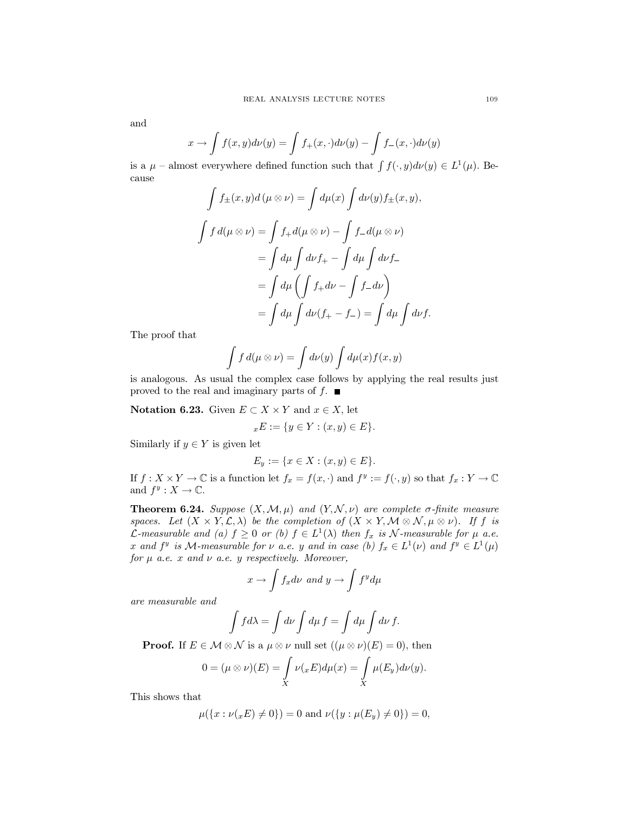and

$$
x \to \int f(x, y) d\nu(y) = \int f_+(x, \cdot) d\nu(y) - \int f_-(x, \cdot) d\nu(y)
$$

is a  $\mu$  – almost everywhere defined function such that  $\int f(\cdot, y) d\nu(y) \in L^1(\mu)$ . Because

$$
\int f_{\pm}(x, y)d(\mu \otimes \nu) = \int d\mu(x) \int d\nu(y) f_{\pm}(x, y),
$$

$$
\int f d(\mu \otimes \nu) = \int f_{+}d(\mu \otimes \nu) - \int f_{-}d(\mu \otimes \nu)
$$

$$
= \int d\mu \int d\nu f_{+} - \int d\mu \int d\nu f_{-}
$$

$$
= \int d\mu \left( \int f_{+}d\nu - \int f_{-}d\nu \right)
$$

$$
= \int d\mu \int d\nu (f_{+} - f_{-}) = \int d\mu \int d\nu f
$$

The proof that

$$
\int f d(\mu \otimes \nu) = \int d\nu(y) \int d\mu(x) f(x, y)
$$

is analogous. As usual the complex case follows by applying the real results just proved to the real and imaginary parts of  $f$ .

**Notation 6.23.** Given  $E \subset X \times Y$  and  $x \in X$ , let

$$
{}_xE := \{ y \in Y : (x, y) \in E \}.
$$

Similarly if  $y \in Y$  is given let

$$
E_y := \{ x \in X : (x, y) \in E \}.
$$

If  $f: X \times Y \to \mathbb{C}$  is a function let  $f_x = f(x, \cdot)$  and  $f^y := f(\cdot, y)$  so that  $f_x: Y \to \mathbb{C}$ and  $f^y: X \to \mathbb{C}$ .

**Theorem 6.24.** Suppose  $(X, \mathcal{M}, \mu)$  and  $(Y, \mathcal{N}, \nu)$  are complete  $\sigma$ -finite measure spaces. Let  $(X \times Y, \mathcal{L}, \lambda)$  be the completion of  $(X \times Y, \mathcal{M} \otimes \mathcal{N}, \mu \otimes \nu)$ . If f is *L*-measurable and (a)  $f \ge 0$  or (b)  $f \in L^1(\lambda)$  then  $f_x$  is N-measurable for  $\mu$  a.e. x and  $f^y$  is M-measurable for  $\nu$  a.e. y and in case (b)  $f_x \in L^1(\nu)$  and  $f^y \in L^1(\mu)$ for  $\mu$  a.e. x and  $\nu$  a.e. y respectively. Moreover,

$$
x \to \int f_x d\nu \text{ and } y \to \int f^y d\mu
$$

are measurable and

$$
\int f d\lambda = \int d\nu \int d\mu f = \int d\mu \int d\nu f.
$$

**Proof.** If  $E \in \mathcal{M} \otimes \mathcal{N}$  is a  $\mu \otimes \nu$  null set  $((\mu \otimes \nu)(E) = 0)$ , then

$$
0 = (\mu \otimes \nu)(E) = \int\limits_X \nu(xE) d\mu(x) = \int\limits_X \mu(E_y) d\nu(y).
$$

This shows that

$$
\mu({x : \nu(x E) \neq 0}) = 0 \text{ and } \nu({y : \mu(E_y) \neq 0}) = 0,
$$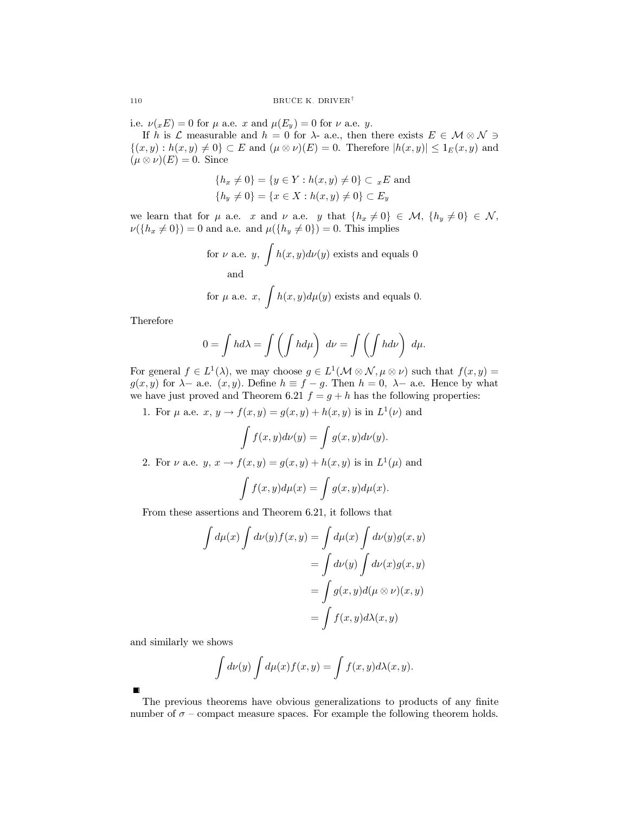i.e.  $\nu(x) = 0$  for  $\mu$  a.e. x and  $\mu(E_y) = 0$  for  $\nu$  a.e. y.

If h is  $\mathcal L$  measurable and  $h = 0$  for  $\lambda$ - a.e., then there exists  $E \in \mathcal M \otimes \mathcal N \ni$  $\{(x, y): h(x, y) \neq 0\} \subset E$  and  $(\mu \otimes \nu)(E) = 0$ . Therefore  $|h(x, y)| \leq 1_E(x, y)$  and  $(\mu \otimes \nu)(E) = 0.$  Since

$$
{h_x \neq 0} = {y \in Y : h(x, y) \neq 0} \subset {_xE} \text{ and}
$$
  

$$
{h_y \neq 0} = {x \in X : h(x, y) \neq 0} \subset E_y
$$

we learn that for  $\mu$  a.e. x and  $\nu$  a.e. y that  $\{h_x \neq 0\} \in \mathcal{M}, \{h_y \neq 0\} \in \mathcal{N}$ ,  $\nu({h_x \neq 0}) = 0$  and a.e. and  $\mu({h_y \neq 0}) = 0$ . This implies

for 
$$
\nu
$$
 a.e.  $y$ ,  $\int h(x, y)d\nu(y)$  exists and equals 0  
and  
for  $\mu$  a.e.  $x$ ,  $\int h(x, y)d\mu(y)$  exists and equals 0.

Therefore

$$
0 = \int hd\lambda = \int \left(\int hd\mu\right) d\nu = \int \left(\int hd\nu\right) d\mu.
$$

For general  $f \in L^1(\lambda)$ , we may choose  $g \in L^1(\mathcal{M} \otimes \mathcal{N}, \mu \otimes \nu)$  such that  $f(x, y) =$  $g(x, y)$  for  $\lambda$ - a.e.  $(x, y)$ . Define  $h \equiv f - g$ . Then  $h = 0$ ,  $\lambda$ - a.e. Hence by what we have just proved and Theorem 6.21  $f = g + h$  has the following properties:

1. For  $\mu$  a.e.  $x, y \to f(x, y) = g(x, y) + h(x, y)$  is in  $L^{1}(\nu)$  and

$$
\int f(x,y)d\nu(y) = \int g(x,y)d\nu(y).
$$

2. For  $\nu$  a.e.  $y, x \rightarrow f(x, y) = g(x, y) + h(x, y)$  is in  $L^1(\mu)$  and

$$
\int f(x,y)d\mu(x) = \int g(x,y)d\mu(x).
$$

From these assertions and Theorem 6.21, it follows that

$$
\int d\mu(x) \int d\nu(y) f(x, y) = \int d\mu(x) \int d\nu(y) g(x, y)
$$

$$
= \int d\nu(y) \int d\nu(x) g(x, y)
$$

$$
= \int g(x, y) d(\mu \otimes \nu)(x, y)
$$

$$
= \int f(x, y) d\lambda(x, y)
$$

and similarly we shows

$$
\int d\nu(y) \int d\mu(x) f(x, y) = \int f(x, y) d\lambda(x, y).
$$

The previous theorems have obvious generalizations to products of any finite number of  $\sigma$  – compact measure spaces. For example the following theorem holds.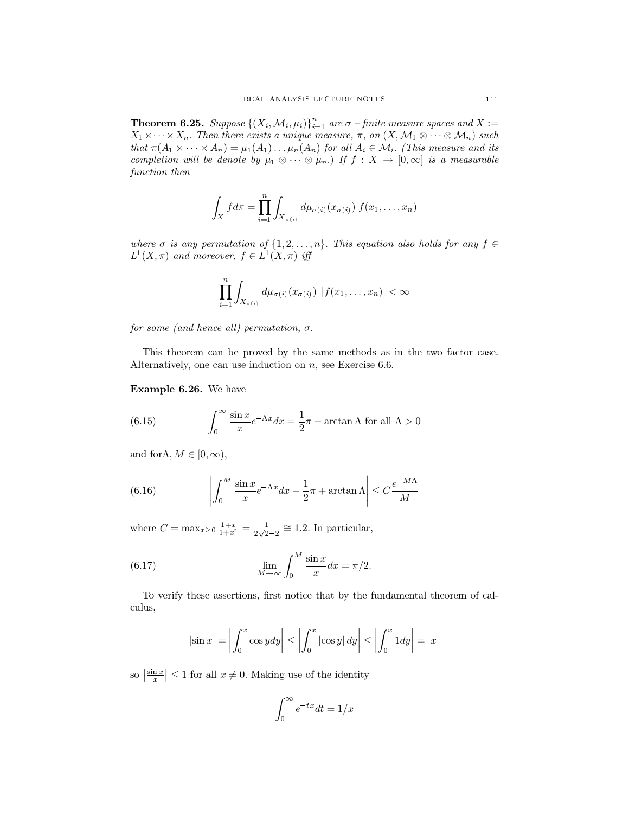**Theorem 6.25.** Suppose  $\{(X_i, \mathcal{M}_i, \mu_i)\}_{i=1}^n$  are  $\sigma$  – finite measure spaces and  $X := X_1 \times \cdots \times X_n$ . Then there exists a unique measure,  $\pi$ , on  $(X, \mathcal{M}_1 \otimes \cdots \otimes \mathcal{M}_n)$  such that  $\pi(A_1 \times \cdots \times A_n) = \mu_1(A_1) \dots \mu_n(A_n)$  for all  $A_i \in \mathcal{M}_i$ . (This measure and its completion will be denote by  $\mu_1 \otimes \cdots \otimes \mu_n$ .) If  $f : X \to [0, \infty]$  is a measurable function then

$$
\int_X f d\pi = \prod_{i=1}^n \int_{X_{\sigma(i)}} d\mu_{\sigma(i)}(x_{\sigma(i)}) f(x_1,\ldots,x_n)
$$

where  $\sigma$  is any permutation of  $\{1,2,\ldots,n\}$ . This equation also holds for any  $f \in$  $L^1(X,\pi)$  and moreover,  $f \in L^1(X,\pi)$  iff

$$
\prod_{i=1}^n \int_{X_{\sigma(i)}} d\mu_{\sigma(i)}(x_{\sigma(i)}) |f(x_1,\ldots,x_n)| < \infty
$$

for some (and hence all) permutation,  $\sigma$ .

This theorem can be proved by the same methods as in the two factor case. Alternatively, one can use induction on  $n$ , see Exercise 6.6.

Example 6.26. We have

(6.15) 
$$
\int_0^\infty \frac{\sin x}{x} e^{-\Lambda x} dx = \frac{1}{2}\pi - \arctan \Lambda \text{ for all } \Lambda > 0
$$

and for  $\Lambda, M \in [0, \infty)$ ,

(6.16) 
$$
\left| \int_0^M \frac{\sin x}{x} e^{-\Lambda x} dx - \frac{1}{2}\pi + \arctan \Lambda \right| \leq C \frac{e^{-M\Lambda}}{M}
$$

where  $C = \max_{x \geq 0} \frac{1+x}{1+x^2} = \frac{1}{2\sqrt{2}-2} \approx 1.2$ . In particular,

(6.17) 
$$
\lim_{M \to \infty} \int_0^M \frac{\sin x}{x} dx = \pi/2.
$$

To verify these assertions, first notice that by the fundamental theorem of calculus,

$$
|\sin x| = \left| \int_0^x \cos y dy \right| \le \left| \int_0^x |\cos y| dy \right| \le \left| \int_0^x 1 dy \right| = |x|
$$

so  $\left|\frac{\sin x}{x}\right| \le 1$  for all  $x \ne 0$ . Making use of the identity

$$
\int_0^\infty e^{-tx} dt = 1/x
$$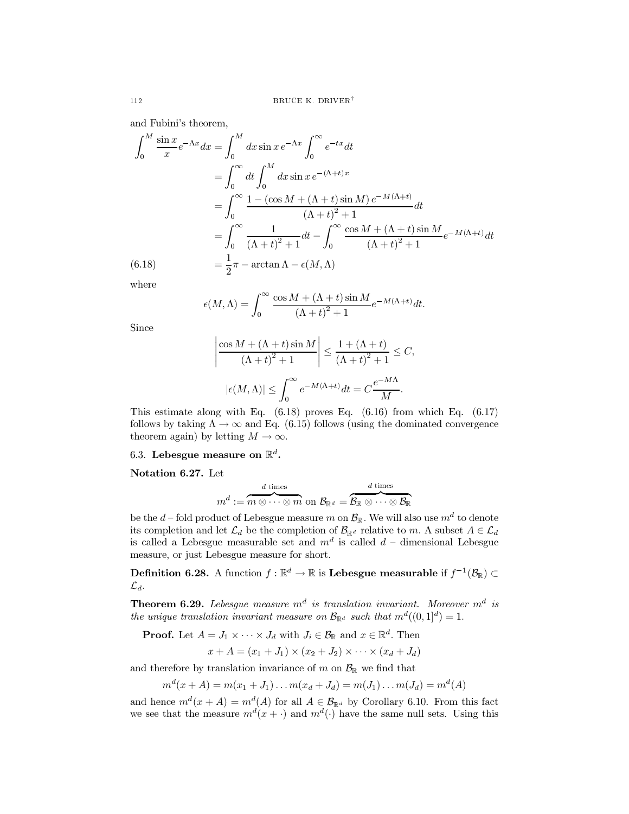and Fubini's theorem,

$$
\int_0^M \frac{\sin x}{x} e^{-\Lambda x} dx = \int_0^M dx \sin x e^{-\Lambda x} \int_0^\infty e^{-tx} dt
$$
  
\n
$$
= \int_0^\infty dt \int_0^M dx \sin x e^{-(\Lambda + t)x}
$$
  
\n
$$
= \int_0^\infty \frac{1 - (\cos M + (\Lambda + t) \sin M) e^{-M(\Lambda + t)}}{(\Lambda + t)^2 + 1} dt
$$
  
\n
$$
= \int_0^\infty \frac{1}{(\Lambda + t)^2 + 1} dt - \int_0^\infty \frac{\cos M + (\Lambda + t) \sin M}{(\Lambda + t)^2 + 1} e^{-M(\Lambda + t)} dt
$$
  
\n(6.18)  
\n
$$
= \frac{1}{2} \pi - \arctan \Lambda - \epsilon(M, \Lambda)
$$

where

$$
\epsilon(M,\Lambda) = \int_0^\infty \frac{\cos M + (\Lambda + t) \sin M}{\left(\Lambda + t\right)^2 + 1} e^{-M(\Lambda + t)} dt.
$$

Since

$$
\frac{\cos M + (\Lambda + t) \sin M}{(\Lambda + t)^2 + 1} \le \frac{1 + (\Lambda + t)}{(\Lambda + t)^2 + 1} \le C,
$$
  

$$
|\epsilon(M, \Lambda)| \le \int_0^\infty e^{-M(\Lambda + t)} dt = C \frac{e^{-M\Lambda}}{M}.
$$

This estimate along with Eq.  $(6.18)$  proves Eq.  $(6.16)$  from which Eq.  $(6.17)$ follows by taking  $\Lambda \to \infty$  and Eq. (6.15) follows (using the dominated convergence theorem again) by letting  $M \to \infty$ .

## 6.3. Lebesgue measure on  $\mathbb{R}^d$ .

Notation 6.27. Let

$$
m^d := \overbrace{m\otimes \cdots \otimes m}^{d\text{ times}}\text{ on }\mathcal{B}_{\mathbb{R}^d} = \overbrace{\mathcal{B}_{\mathbb{R}}\otimes \cdots \otimes \mathcal{B}_{\mathbb{R}}^{d\text{ times}}}
$$

be the d-fold product of Lebesgue measure m on  $\mathcal{B}_{\mathbb{R}}$ . We will also use  $m^d$  to denote its completion and let  $\mathcal{L}_d$  be the completion of  $\mathcal{B}_{\mathbb{R}^d}$  relative to m. A subset  $A \in \mathcal{L}_d$ is called a Lebesgue measurable set and  $m^d$  is called  $d$  – dimensional Lebesgue measure, or just Lebesgue measure for short.

**Definition 6.28.** A function  $f : \mathbb{R}^d \to \mathbb{R}$  is **Lebesgue measurable** if  $f^{-1}(\mathcal{B}_{\mathbb{R}})$  $\mathcal{L}_d$ .

**Theorem 6.29.** Lebesgue measure  $m^d$  is translation invariant. Moreover  $m^d$  is the unique translation invariant measure on  $\mathcal{B}_{\mathbb{R}^d}$  such that  $m^d((0,1]^d) = 1$ .

**Proof.** Let  $A = J_1 \times \cdots \times J_d$  with  $J_i \in \mathcal{B}_{\mathbb{R}}$  and  $x \in \mathbb{R}^d$ . Then

$$
x + A = (x_1 + J_1) \times (x_2 + J_2) \times \cdots \times (x_d + J_d)
$$

and therefore by translation invariance of  $m$  on  $\mathcal{B}_{\mathbb{R}}$  we find that

$$
m^{d}(x+A) = m(x_1+J_1) \dots m(x_d+J_d) = m(J_1) \dots m(J_d) = m^{d}(A)
$$

and hence  $m^d(x + A) = m^d(A)$  for all  $A \in \mathcal{B}_{\mathbb{R}^d}$  by Corollary 6.10. From this fact we see that the measure  $m^d(x + \cdot)$  and  $m^d(\cdot)$  have the same null sets. Using this

112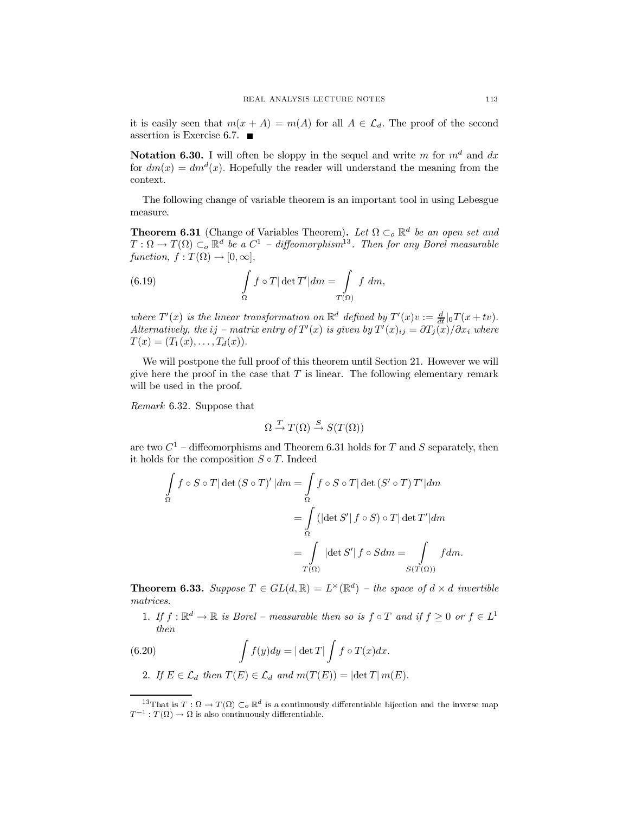it is easily seen that  $m(x + A) = m(A)$  for all  $A \in \mathcal{L}_d$ . The proof of the second assertion is Exercise 6.7.  $\blacksquare$ 

**Notation 6.30.** I will often be sloppy in the sequel and write m for  $m<sup>d</sup>$  and dx for  $dm(x) = dm<sup>d</sup>(x)$ . Hopefully the reader will understand the meaning from the context.

The following change of variable theorem is an important tool in using Lebesgue measure.

**Theorem 6.31** (Change of Variables Theorem). Let  $\Omega \subset_{o} \mathbb{R}^{d}$  be an open set and  $T:\Omega\to T(\Omega)\subset_o\mathbb{R}^d$  be a  $C^1$  - diffeomorphism<sup>13</sup>. Then for any Borel measurable function,  $f: T(\Omega) \to [0, \infty],$ 

(6.19) 
$$
\int_{\Omega} f \circ T |\det T'| dm = \int_{T(\Omega)} f dm
$$

where  $T'(x)$  is the linear transformation on  $\mathbb{R}^d$  defined by  $T'(x)v := \frac{d}{dt}|_0T(x+tv)$ . Alternatively, the ij – matrix entry of  $T'(x)$  is given by  $T'(x)_{ii} = \frac{\partial T_i(x)}{\partial x_i}$  where  $T(x) = (T_1(x), \ldots, T_d(x)).$ 

We will postpone the full proof of this theorem until Section 21. However we will give here the proof in the case that  $T$  is linear. The following elementary remark will be used in the proof.

Remark 6.32. Suppose that

$$
\Omega \stackrel{T}{\to} T(\Omega) \stackrel{S}{\to} S(T(\Omega))
$$

are two  $C^1$  – diffeomorphisms and Theorem 6.31 holds for T and S separately, then it holds for the composition  $S \circ T$ . Indeed

$$
\int_{\Omega} f \circ S \circ T |\det(S \circ T)'| dm = \int_{\Omega} f \circ S \circ T |\det(S' \circ T) T'| dm
$$

$$
= \int_{\Omega} (|\det S'| f \circ S) \circ T |\det T'| dm
$$

$$
= \int_{T(\Omega)} |\det S'| f \circ S dm = \int_{S(T(\Omega))} f dm
$$

**Theorem 6.33.** Suppose  $T \in GL(d, \mathbb{R}) = L^{\times}(\mathbb{R}^{d})$  – the space of  $d \times d$  invertible matrices.

1. If  $f: \mathbb{R}^d \to \mathbb{R}$  is Borel – measurable then so is  $f \circ T$  and if  $f \geq 0$  or  $f \in L^1$ then

(6.20) 
$$
\int f(y) dy = |\det T| \int f \circ T(x) dx.
$$

2. If  $E \in \mathcal{L}_d$  then  $T(E) \in \mathcal{L}_d$  and  $m(T(E)) = |\det T| m(E)$ .

<sup>&</sup>lt;sup>13</sup>That is  $T: \Omega \to T(\Omega) \subset_{o} \mathbb{R}^{d}$  is a continuously differentiable bijection and the inverse map  $T^{-1}: T(\Omega) \to \Omega$  is also continuously differentiable.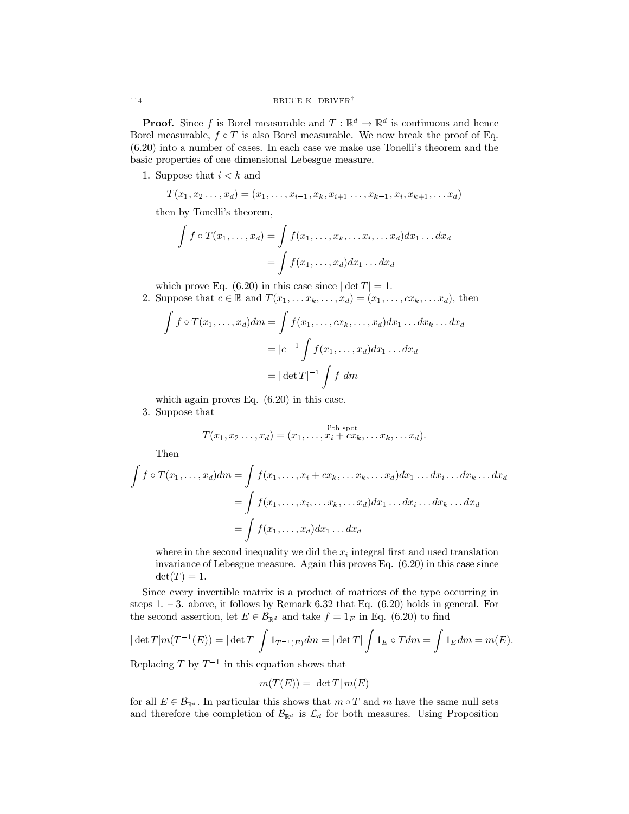**Proof.** Since f is Borel measurable and  $T : \mathbb{R}^d \to \mathbb{R}^d$  is continuous and hence Borel measurable,  $f \circ T$  is also Borel measurable. We now break the proof of Eq.  $(6.20)$  into a number of cases. In each case we make use Tonelli's theorem and the basic properties of one dimensional Lebesgue measure.

1. Suppose that  $i < k$  and

$$
T(x_1, x_2 \ldots, x_d) = (x_1, \ldots, x_{i-1}, x_k, x_{i+1} \ldots, x_{k-1}, x_i, x_{k+1}, \ldots, x_d)
$$

then by Tonelli's theorem,

$$
\int f \circ T(x_1, \dots, x_d) = \int f(x_1, \dots, x_k, \dots x_i, \dots x_d) dx_1 \dots dx_d
$$

$$
= \int f(x_1, \dots, x_d) dx_1 \dots dx_d
$$

which prove Eq. (6.20) in this case since  $|\det T| = 1$ .

2. Suppose that  $c \in \mathbb{R}$  and  $T(x_1, \ldots, x_k, \ldots, x_d) = (x_1, \ldots, cx_k, \ldots, x_d)$ , then

$$
\int f \circ T(x_1, \dots, x_d) dm = \int f(x_1, \dots, cx_k, \dots, x_d) dx_1 \dots dx_k \dots dx_d
$$

$$
= |c|^{-1} \int f(x_1, \dots, x_d) dx_1 \dots dx_d
$$

$$
= |\det T|^{-1} \int f dm
$$

which again proves Eq.  $(6.20)$  in this case.

3. Suppose that

$$
T(x_1,x_2\ldots,x_d)=(x_1,\ldots,x_i+cx_k,\ldots x_k,\ldots x_d).
$$

Then

$$
\int f \circ T(x_1, \dots, x_d) dm = \int f(x_1, \dots, x_i + cx_k, \dots x_k, \dots x_d) dx_1 \dots dx_i \dots dx_k \dots dx_d
$$

$$
= \int f(x_1, \dots, x_i, \dots x_k, \dots x_d) dx_1 \dots dx_i \dots dx_k \dots dx_d
$$

$$
= \int f(x_1, \dots, x_d) dx_1 \dots dx_d
$$

where in the second inequality we did the  $x_i$  integral first and used translation invariance of Lebesgue measure. Again this proves Eq.  $(6.20)$  in this case since  $\det(T)=1.$ 

Since every invertible matrix is a product of matrices of the type occurring in steps 1.  $-3$ . above, it follows by Remark 6.32 that Eq. (6.20) holds in general. For the second assertion, let  $E \in \mathcal{B}_{\mathbb{R}^d}$  and take  $f = 1_E$  in Eq. (6.20) to find

$$
|\det T|m(T^{-1}(E)) = |\det T| \int 1_{T^{-1}(E)} dm = |\det T| \int 1_E \circ T dm = \int 1_E dm = m(E).
$$

Replacing T by  $T^{-1}$  in this equation shows that

$$
m(T(E)) = |\det T| m(E)
$$

for all  $E \in \mathcal{B}_{\mathbb{R}^d}$ . In particular this shows that  $m \circ T$  and m have the same null sets and therefore the completion of  $\mathcal{B}_{\mathbb{R}^d}$  is  $\mathcal{L}_d$  for both measures. Using Proposition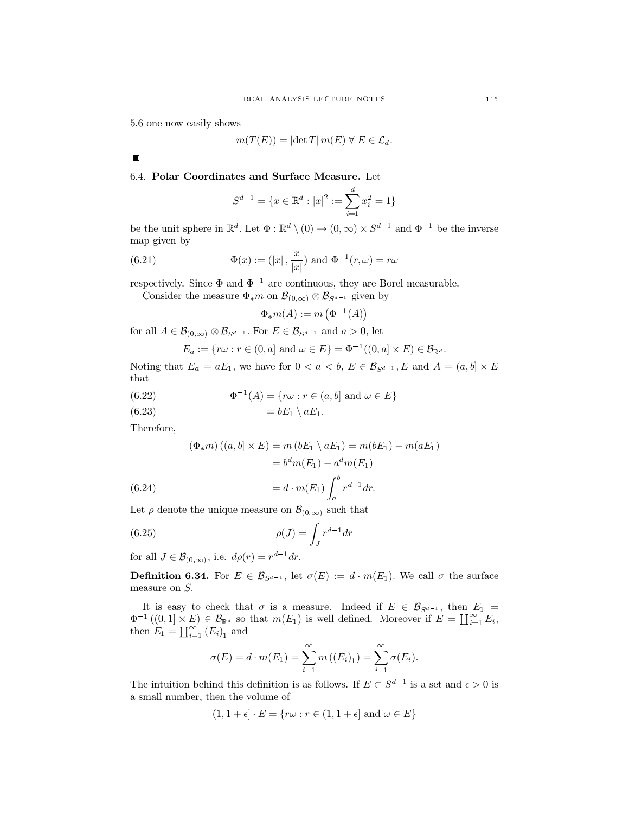5.6 one now easily shows

$$
m(T(E)) = |\det T| m(E) \,\forall E \in \mathcal{L}_d.
$$

 $\blacksquare$ 

# 6.4. Polar Coordinates and Surface Measure. Let

$$
S^{d-1} = \{x \in \mathbb{R}^d : |x|^2 := \sum_{i=1}^d x_i^2 = 1\}
$$

be the unit sphere in  $\mathbb{R}^d$ . Let  $\Phi : \mathbb{R}^d \setminus (0) \to (0, \infty) \times S^{d-1}$  and  $\Phi^{-1}$  be the inverse map given by

(6.21) 
$$
\Phi(x) := (|x|, \frac{x}{|x|}) \text{ and } \Phi^{-1}(r, \omega) = r\omega
$$

respectively. Since  $\Phi$  and  $\Phi^{-1}$  are continuous, they are Borel measurable.

Consider the measure  $\Phi_* m$  on  $\mathcal{B}_{(0,\infty)} \otimes \mathcal{B}_{S^{d-1}}$  given by

$$
\Phi_{*}m(A):=m\left(\Phi^{-1}(A)\right)
$$

for all  $A \in \mathcal{B}_{(0,\infty)} \otimes \mathcal{B}_{S^{d-1}}$ . For  $E \in \mathcal{B}_{S^{d-1}}$  and  $a > 0$ , let

$$
E_a := \{ r\omega : r \in (0, a] \text{ and } \omega \in E \} = \Phi^{-1}((0, a] \times E) \in \mathcal{B}_{\mathbb{R}^d}.
$$

Noting that  $E_a = aE_1$ , we have for  $0 < a < b$ ,  $E \in \mathcal{B}_{S^{d-1}}$ , E and  $A = (a, b] \times E$ that

(6.22) 
$$
\Phi^{-1}(A) = \{r\omega : r \in (a, b] \text{ and } \omega \in E\}
$$

Therefore,

 $(6.24)$ 

$$
(\Phi_{*}m)((a,b] \times E) = m(bE_1 \setminus aE_1) = m(bE_1) - m(aE_1)
$$

$$
= b^dm(E_1) - a^dm(E_1)
$$

$$
= d \cdot m(E_1) \int_a^b r^{d-1} dr.
$$

Let  $\rho$  denote the unique measure on  $\mathcal{B}_{(0,\infty)}$  such that

$$
\rho(J) = \int_J r^{d-1} dr
$$

for all  $J \in \mathcal{B}_{(0,\infty)}$ , i.e.  $d\rho(r) = r^{d-1}dr$ .

**Definition 6.34.** For  $E \in \mathcal{B}_{S^{d-1}}$ , let  $\sigma(E) := d \cdot m(E_1)$ . We call  $\sigma$  the surface measure on  $S$ .

It is easy to check that  $\sigma$  is a measure. Indeed if  $E \in \mathcal{B}_{S^{d-1}}$ , then  $E_1 =$  $\Phi^{-1}((0,1] \times E) \in \mathcal{B}_{\mathbb{R}^d}$  so that  $m(E_1)$  is well defined. Moreover if  $E = \coprod_{i=1}^{\infty} E_i$ , then  $E_1 = \coprod_{i=1}^{\infty} (E_i)_1$  and

$$
\sigma(E) = d \cdot m(E_1) = \sum_{i=1}^{\infty} m((E_i)_1) = \sum_{i=1}^{\infty} \sigma(E_i).
$$

The intuition behind this definition is as follows. If  $E \subset S^{d-1}$  is a set and  $\epsilon > 0$  is a small number, then the volume of

$$
(1, 1 + \epsilon] \cdot E = \{ r\omega : r \in (1, 1 + \epsilon] \text{ and } \omega \in E \}
$$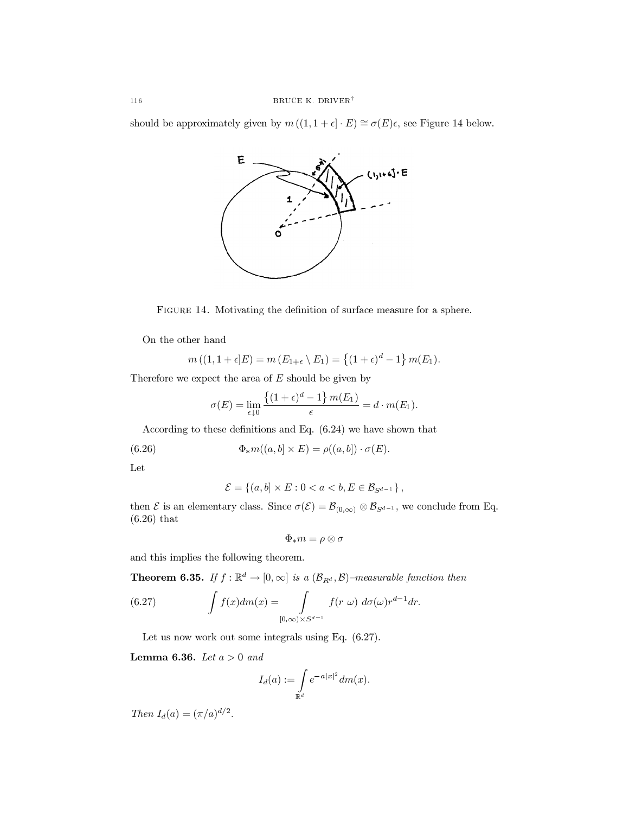should be approximately given by  $m((1,1+\epsilon]\cdot E) \cong \sigma(E)\epsilon$ , see Figure 14 below.



FIGURE 14. Motivating the definition of surface measure for a sphere.

On the other hand

$$
m((1,1+\epsilon)E) = m(E_{1+\epsilon} \setminus E_1) = \{(1+\epsilon)^d - 1\} m(E_1).
$$

Therefore we expect the area of  $E$  should be given by

$$
\sigma(E) = \lim_{\epsilon \downarrow 0} \frac{\{(1+\epsilon)^d - 1\} m(E_1)}{\epsilon} = d \cdot m(E_1).
$$

According to these definitions and Eq.  $(6.24)$  we have shown that

(6.26) 
$$
\Phi_* m((a, b] \times E) = \rho((a, b]) \cdot \sigma(E).
$$

Let

$$
\mathcal{E} = \{(a, b] \times E : 0 < a < b, E \in \mathcal{B}_{S^{d-1}}\},
$$

then  $\mathcal E$  is an elementary class. Since  $\sigma(\mathcal E) = \mathcal B_{(0,\infty)} \otimes \mathcal B_{S^{d-1}}$ , we conclude from Eq.  $(6.26)$  that

$$
\Phi_*m=\rho\otimes\sigma
$$

and this implies the following theorem.

**Theorem 6.35.** If  $f : \mathbb{R}^d \to [0, \infty]$  is a  $(\mathcal{B}_{R^d}, \mathcal{B})$ -measurable function then

(6.27) 
$$
\int f(x) dm(x) = \int_{[0,\infty)\times S^{d-1}} f(r \omega) d\sigma(\omega) r^{d-1} dr.
$$

Let us now work out some integrals using Eq.  $(6.27)$ .

Lemma 6.36. Let  $a > 0$  and

$$
I_d(a) := \int\limits_{\mathbb{R}^d} e^{-a|x|^2} dm(x).
$$

Then  $I_d(a) = (\pi/a)^{d/2}$ .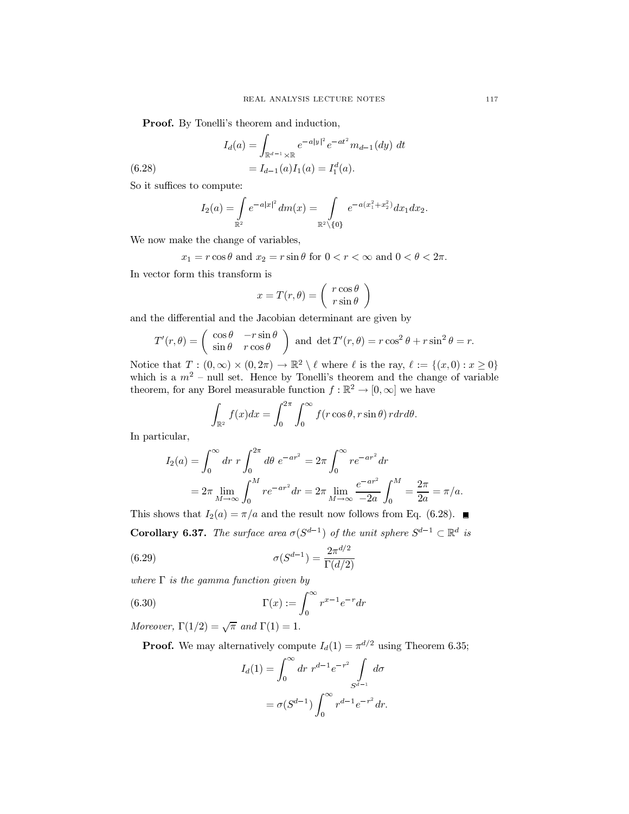**Proof.** By Tonelli's theorem and induction,

$$
I_d(a) = \int_{\mathbb{R}^{d-1} \times \mathbb{R}} e^{-a|y|^2} e^{-at^2} m_{d-1}(dy) dt
$$
  
=  $I_{d-1}(a) I_1(a) = I_1^d(a).$ 

So it suffices to compute:

 $(6.28)$ 

$$
I_2(a) = \int\limits_{\mathbb{R}^2} e^{-a|x|^2} dm(x) = \int\limits_{\mathbb{R}^2 \setminus \{0\}} e^{-a(x_1^2 + x_2^2)} dx_1 dx_2.
$$

We now make the change of variables,

$$
x_1 = r \cos \theta
$$
 and  $x_2 = r \sin \theta$  for  $0 < r < \infty$  and  $0 < \theta < 2\pi$ .

In vector form this transform is

$$
x = T(r, \theta) = \left(\begin{array}{c} r \cos \theta \\ r \sin \theta \end{array}\right)
$$

and the differential and the Jacobian determinant are given by

$$
T'(r,\theta) = \begin{pmatrix} \cos\theta & -r\sin\theta \\ \sin\theta & r\cos\theta \end{pmatrix}
$$
 and  $\det T'(r,\theta) = r\cos^2\theta + r\sin^2\theta = r$ .

Notice that  $T:(0,\infty)\times(0,2\pi)\to\mathbb{R}^2\setminus\ell$  where  $\ell$  is the ray,  $\ell:=\{(x,0):x\geq0\}$ which is a  $m^2$  - null set. Hence by Tonelli's theorem and the change of variable theorem, for any Borel measurable function  $f : \mathbb{R}^2 \to [0, \infty]$  we have

$$
\int_{\mathbb{R}^2} f(x)dx = \int_0^{2\pi} \int_0^{\infty} f(r\cos\theta, r\sin\theta) r dr d\theta.
$$

In particular,

$$
I_2(a) = \int_0^\infty dr \ r \int_0^{2\pi} d\theta \ e^{-ar^2} = 2\pi \int_0^\infty re^{-ar^2} dr
$$
  
=  $2\pi \lim_{M \to \infty} \int_0^M re^{-ar^2} dr = 2\pi \lim_{M \to \infty} \frac{e^{-ar^2}}{-2a} \int_0^M = \frac{2\pi}{2a} = \pi/a.$ 

This shows that  $I_2(a) = \pi/a$  and the result now follows from Eq. (6.28). **Corollary 6.37.** The surface area  $\sigma(S^{d-1})$  of the unit sphere  $S^{d-1} \subset \mathbb{R}^d$  is  $\sim d/2$ 

(6.29) 
$$
\sigma(S^{d-1}) = \frac{2\pi^{d/2}}{\Gamma(d/2)}
$$

where  $\Gamma$  is the gamma function given by

(6.30) 
$$
\Gamma(x) := \int_0^\infty r^{x-1} e^{-r} dr
$$

Moreover,  $\Gamma(1/2) = \sqrt{\pi}$  and  $\Gamma(1) = 1$ .

**Proof.** We may alternatively compute  $I_d(1) = \pi^{d/2}$  using Theorem 6.35;

$$
I_d(1) = \int_0^\infty dr \ r^{d-1} e^{-r^2} \int_{S^{d-1}} d\sigma
$$
  
=  $\sigma(S^{d-1}) \int_0^\infty r^{d-1} e^{-r^2} dr.$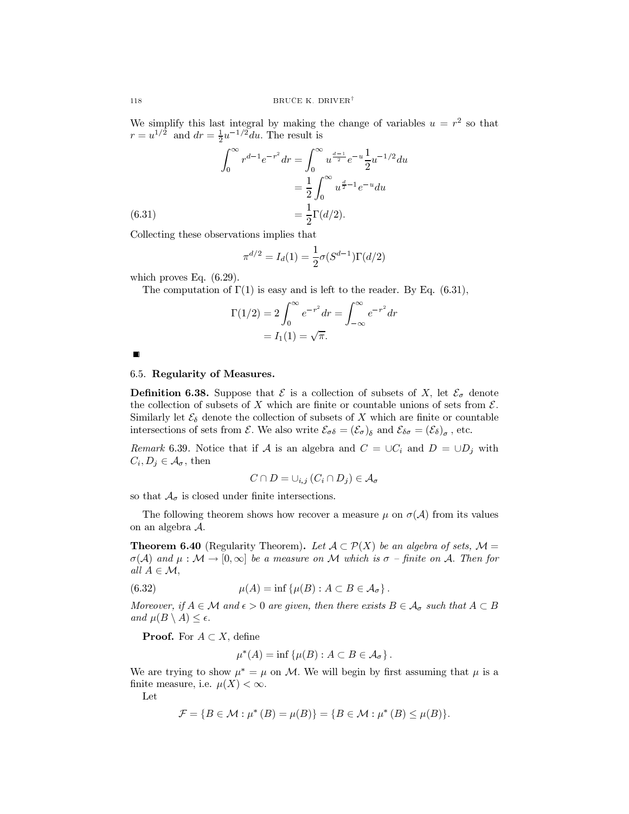We simplify this last integral by making the change of variables  $u = r^2$  so that  $r = u^{1/2}$  and  $dr = \frac{1}{2}u^{-1/2}du$ . The result is

$$
\int_0^\infty r^{d-1} e^{-r^2} dr = \int_0^\infty u^{\frac{d-1}{2}} e^{-u} \frac{1}{2} u^{-1/2} du
$$
  
=  $\frac{1}{2} \int_0^\infty u^{\frac{d}{2}-1} e^{-u} du$   
=  $\frac{1}{2} \Gamma(d/2)$ .

Collecting these observations implies that

$$
\pi^{d/2} = I_d(1) = \frac{1}{2}\sigma(S^{d-1})\Gamma(d/2)
$$

which proves Eq.  $(6.29)$ .

The computation of  $\Gamma(1)$  is easy and is left to the reader. By Eq. (6.31),

$$
\Gamma(1/2) = 2 \int_0^\infty e^{-r^2} dr = \int_{-\infty}^\infty e^{-r^2} dr
$$

$$
= I_1(1) = \sqrt{\pi}.
$$

 $\blacksquare$ 

### 6.5. Regularity of Measures.

**Definition 6.38.** Suppose that  $\mathcal E$  is a collection of subsets of X, let  $\mathcal E_{\sigma}$  denote the collection of subsets of X which are finite or countable unions of sets from  $\mathcal{E}$ . Similarly let  $\mathcal{E}_{\delta}$  denote the collection of subsets of X which are finite or countable intersections of sets from  $\mathcal{E}$ . We also write  $\mathcal{E}_{\sigma\delta} = (\mathcal{E}_{\sigma})_{\delta}$  and  $\mathcal{E}_{\delta\sigma} = (\mathcal{E}_{\delta})_{\sigma}$ , etc.

Remark 6.39. Notice that if A is an algebra and  $C = \bigcup C_i$  and  $D = \bigcup D_j$  with  $C_i, D_j \in \mathcal{A}_{\sigma}$ , then

$$
C \cap D = \cup_{i,j} (C_i \cap D_j) \in \mathcal{A}_{\sigma}
$$

so that  $A_{\sigma}$  is closed under finite intersections.

The following theorem shows how recover a measure  $\mu$  on  $\sigma(\mathcal{A})$  from its values on an algebra  $A$ .

**Theorem 6.40** (Regularity Theorem). Let  $A \subset \mathcal{P}(X)$  be an algebra of sets,  $\mathcal{M} =$  $\sigma(\mathcal{A})$  and  $\mu : \mathcal{M} \to [0,\infty]$  be a measure on M which is  $\sigma$  -finite on A. Then for all  $A \in \mathcal{M}$ ,

(6.32) 
$$
\mu(A) = \inf \{ \mu(B) : A \subset B \in \mathcal{A}_{\sigma} \}.
$$

Moreover, if  $A \in \mathcal{M}$  and  $\epsilon > 0$  are given, then there exists  $B \in \mathcal{A}_{\sigma}$  such that  $A \subset B$ and  $\mu(B \setminus A) \leq \epsilon$ .

**Proof.** For  $A \subset X$ , define

$$
\mu^*(A) = \inf \{ \mu(B) : A \subset B \in \mathcal{A}_{\sigma} \}
$$

We are trying to show  $\mu^* = \mu$  on M. We will begin by first assuming that  $\mu$  is a finite measure, i.e.  $\mu(X) < \infty$ .

Let

$$
\mathcal{F} = \{ B \in \mathcal{M} : \mu^* (B) = \mu(B) \} = \{ B \in \mathcal{M} : \mu^* (B) \leq \mu(B) \}.
$$

 $(6.31)$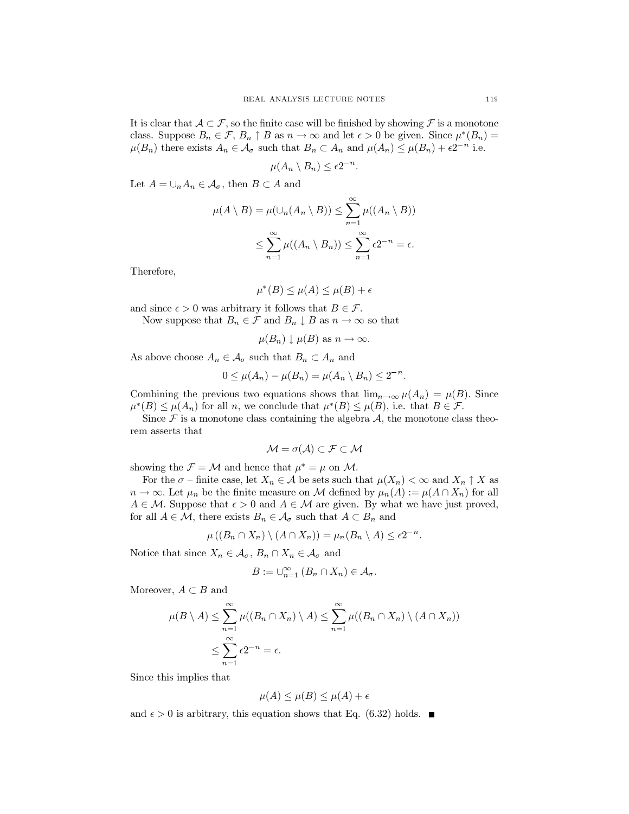It is clear that  $A \subset \mathcal{F}$ , so the finite case will be finished by showing  $\mathcal F$  is a monotone class. Suppose  $B_n \in \mathcal{F}, B_n \uparrow B$  as  $n \to \infty$  and let  $\epsilon > 0$  be given. Since  $\mu^*(B_n) =$  $\mu(B_n)$  there exists  $A_n \in \mathcal{A}_{\sigma}$  such that  $B_n \subset A_n$  and  $\mu(A_n) \leq \mu(B_n) + \epsilon 2^{-n}$  i.e.

$$
u(A_n \setminus B_n) \le \epsilon 2^{-n}
$$

Let  $A = \bigcup_n A_n \in \mathcal{A}_{\sigma}$ , then  $B \subset A$  and

$$
\mu(A \setminus B) = \mu(\cup_n(A_n \setminus B)) \le \sum_{n=1}^{\infty} \mu((A_n \setminus B))
$$
  

$$
\le \sum_{n=1}^{\infty} \mu((A_n \setminus B_n)) \le \sum_{n=1}^{\infty} \epsilon 2^{-n} = \epsilon.
$$

Therefore,

$$
\mu^*(B) \le \mu(A) \le \mu(B) + \epsilon
$$

and since  $\epsilon > 0$  was arbitrary it follows that  $B \in \mathcal{F}$ .

Now suppose that  $B_n \in \mathcal{F}$  and  $B_n \downarrow B$  as  $n \to \infty$  so that

$$
\mu(B_n) \downarrow \mu(B)
$$
 as  $n \to \infty$ .

As above choose  $A_n \in \mathcal{A}_{\sigma}$  such that  $B_n \subset A_n$  and

$$
0 \leq \mu(A_n) - \mu(B_n) = \mu(A_n \setminus B_n) \leq 2^{-n}.
$$

Combining the previous two equations shows that  $\lim_{n\to\infty} \mu(A_n) = \mu(B)$ . Since  $\mu^*(B) \leq \mu(A_n)$  for all n, we conclude that  $\mu^*(B) \leq \mu(B)$ , i.e. that  $B \in \mathcal{F}$ .

Since  $\mathcal F$  is a monotone class containing the algebra  $\mathcal A$ , the monotone class theorem asserts that

$$
\mathcal{M} = \sigma(\mathcal{A}) \subset \mathcal{F} \subset \mathcal{M}
$$

showing the  $\mathcal{F} = \mathcal{M}$  and hence that  $\mu^* = \mu$  on M.

For the  $\sigma$  – finite case, let  $X_n \in \mathcal{A}$  be sets such that  $\mu(X_n) < \infty$  and  $X_n \uparrow X$  as  $n \to \infty$ . Let  $\mu_n$  be the finite measure on M defined by  $\mu_n(A) := \mu(A \cap X_n)$  for all  $A \in \mathcal{M}$ . Suppose that  $\epsilon > 0$  and  $A \in \mathcal{M}$  are given. By what we have just proved, for all  $A \in \mathcal{M}$ , there exists  $B_n \in \mathcal{A}_{\sigma}$  such that  $A \subset B_n$  and

$$
\mu((B_n \cap X_n) \setminus (A \cap X_n)) = \mu_n(B_n \setminus A) \le \epsilon 2^{-n}
$$

Notice that since  $X_n \in \mathcal{A}_{\sigma}, B_n \cap X_n \in \mathcal{A}_{\sigma}$  and

$$
B := \cup_{n=1}^{\infty} (B_n \cap X_n) \in \mathcal{A}_{\sigma}
$$

Moreover,  $A \subset B$  and

$$
\mu(B \setminus A) \leq \sum_{n=1}^{\infty} \mu((B_n \cap X_n) \setminus A) \leq \sum_{n=1}^{\infty} \mu((B_n \cap X_n) \setminus (A \cap X_n))
$$
  

$$
\leq \sum_{n=1}^{\infty} \epsilon 2^{-n} = \epsilon.
$$

Since this implies that

$$
\mu(A) \le \mu(B) \le \mu(A) + \epsilon
$$

and  $\epsilon > 0$  is arbitrary, this equation shows that Eq. (6.32) holds.  $\blacksquare$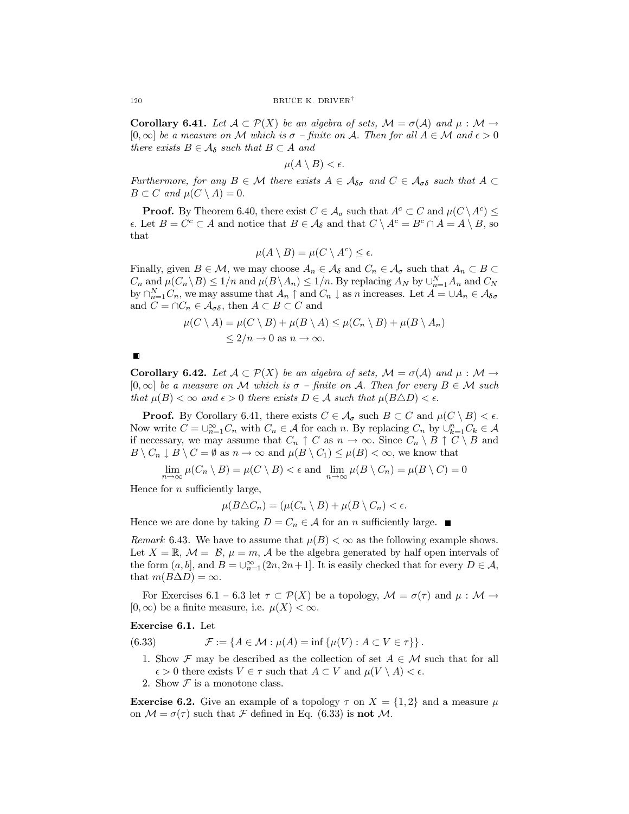**Corollary 6.41.** Let  $A \subset \mathcal{P}(X)$  be an algebra of sets,  $\mathcal{M} = \sigma(\mathcal{A})$  and  $\mu : \mathcal{M} \to$  $[0,\infty]$  be a measure on M which is  $\sigma$  – finite on A. Then for all  $A \in \mathcal{M}$  and  $\epsilon > 0$ there exists  $B \in \mathcal{A}_{\delta}$  such that  $B \subset A$  and

$$
\mu(A\setminus B)<\epsilon.
$$

Furthermore, for any  $B \in \mathcal{M}$  there exists  $A \in \mathcal{A}_{\delta\sigma}$  and  $C \in \mathcal{A}_{\sigma\delta}$  such that  $A \subset$  $B \subset C$  and  $\mu(C \setminus A) = 0$ .

**Proof.** By Theorem 6.40, there exist  $C \in \mathcal{A}_{\sigma}$  such that  $A^{c} \subset C$  and  $\mu(C \setminus A^{c}) \leq$  $\epsilon$ . Let  $B = C^c \subset A$  and notice that  $B \in A_{\delta}$  and that  $C \setminus A^c = B^c \cap A = A \setminus B$ , so that

$$
\mu(A \setminus B) = \mu(C \setminus A^c) \le \epsilon.
$$

Finally, given  $B \in \mathcal{M}$ , we may choose  $A_n \in \mathcal{A}_{\delta}$  and  $C_n \in \mathcal{A}_{\sigma}$  such that  $A_n \subset B \subset$  $C_n$  and  $\mu(C_n \setminus B) \leq 1/n$  and  $\mu(B \setminus A_n) \leq 1/n$ . By replacing  $A_N$  by  $\cup_{n=1}^N A_n$  and  $C_N$ by  $\bigcap_{n=1}^N C_n$ , we may assume that  $A_n \uparrow$  and  $C_n \downarrow$  as n increases. Let  $A = \cup A_n \in \mathcal{A}_{\delta \sigma}$ and  $C = \cap C_n \in \mathcal{A}_{\sigma\delta}$ , then  $A \subset B \subset C$  and

$$
\mu(C \setminus A) = \mu(C \setminus B) + \mu(B \setminus A) \le \mu(C_n \setminus B) + \mu(B \setminus A_n)
$$
  
\$\le 2/n \to 0\$ as  $n \to \infty$ .

**Corollary 6.42.** Let  $\mathcal{A} \subset \mathcal{P}(X)$  be an algebra of sets,  $\mathcal{M} = \sigma(\mathcal{A})$  and  $\mu : \mathcal{M} \to$  $[0,\infty]$  be a measure on M which is  $\sigma$  – finite on A. Then for every  $B \in \mathcal{M}$  such that  $\mu(B) < \infty$  and  $\epsilon > 0$  there exists  $D \in \mathcal{A}$  such that  $\mu(B \triangle D) < \epsilon$ .

**Proof.** By Corollary 6.41, there exists  $C \in \mathcal{A}_{\sigma}$  such  $B \subset C$  and  $\mu(C \setminus B) < \epsilon$ . Now write  $C = \bigcup_{n=1}^{\infty} C_n$  with  $C_n \in \mathcal{A}$  for each n. By replacing  $C_n$  by  $\bigcup_{k=1}^{n} C_k \in \mathcal{A}$ if necessary, we may assume that  $C_n \uparrow C$  as  $n \to \infty$ . Since  $C_n \setminus B \uparrow C \setminus B$  and  $B \setminus C_n \downarrow B \setminus C = \emptyset$  as  $n \to \infty$  and  $\mu(B \setminus C_1) \leq \mu(B) < \infty$ , we know that

 $\lim_{n\to\infty} \mu(C_n \setminus B) = \mu(C \setminus B) < \epsilon$  and  $\lim_{n\to\infty} \mu(B \setminus C_n) = \mu(B \setminus C) = 0$ 

Hence for  $n$  sufficiently large,

$$
\mu(B \triangle C_n) = (\mu(C_n \setminus B) + \mu(B \setminus C_n) < \epsilon.
$$

Hence we are done by taking  $D = C_n \in \mathcal{A}$  for an *n* sufficiently large.

Remark 6.43. We have to assume that  $\mu(B) < \infty$  as the following example shows. Let  $X = \mathbb{R}$ ,  $\mathcal{M} = \mathcal{B}$ ,  $\mu = m$ , A be the algebra generated by half open intervals of the form  $(a, b]$ , and  $B = \bigcup_{n=1}^{\infty} (2n, 2n+1]$ . It is easily checked that for every  $D \in \mathcal{A}$ , that  $m(B\Delta D) = \infty$ .

For Exercises 6.1 – 6.3 let  $\tau \subset \mathcal{P}(X)$  be a topology,  $\mathcal{M} = \sigma(\tau)$  and  $\mu : \mathcal{M} \to$  $(0, \infty)$  be a finite measure, i.e.  $\mu(X) < \infty$ .

## Exercise 6.1. Let

(6.33)  $\mathcal{F} := \{ A \in \mathcal{M} : \mu(A) = \inf \{ \mu(V) : A \subset V \in \tau \} \}.$ 

- 1. Show  $\mathcal F$  may be described as the collection of set  $A \in \mathcal M$  such that for all  $\epsilon > 0$  there exists  $V \in \tau$  such that  $A \subset V$  and  $\mu(V \setminus A) < \epsilon$ .
- 2. Show  $\mathcal F$  is a monotone class.

**Exercise 6.2.** Give an example of a topology  $\tau$  on  $X = \{1, 2\}$  and a measure  $\mu$ on  $\mathcal{M} = \sigma(\tau)$  such that  $\mathcal F$  defined in Eq. (6.33) is **not**  $\mathcal M$ .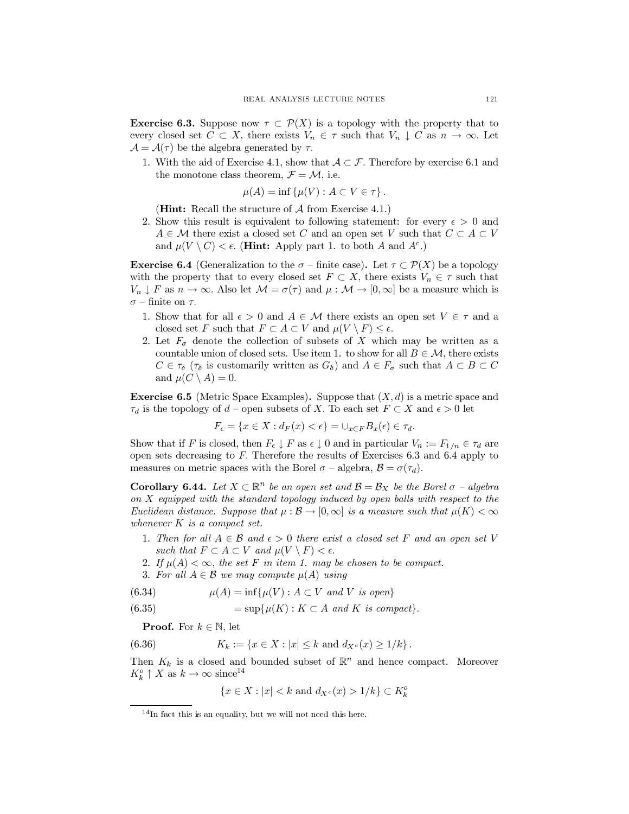**Exercise 6.3.** Suppose now  $\tau \subset \mathcal{P}(X)$  is a topology with the property that to every closed set  $C \subset X$ , there exists  $V_n \in \tau$  such that  $V_n \downarrow C$  as  $n \to \infty$ . Let  $\mathcal{A} = \mathcal{A}(\tau)$  be the algebra generated by  $\tau$ .

1. With the aid of Exercise 4.1, show that  $A \subset \mathcal{F}$ . Therefore by exercise 6.1 and the monotone class theorem,  $\mathcal{F} = \mathcal{M}$ , i.e.

$$
\mu(A) = \inf \{ \mu(V) : A \subset V \in \tau \}.
$$

(**Hint:** Recall the structure of  $A$  from Exercise 4.1.)

2. Show this result is equivalent to following statement: for every  $\epsilon > 0$  and  $A \in \mathcal{M}$  there exist a closed set C and an open set V such that  $C \subset A \subset V$ and  $\mu(V \setminus C) < \epsilon$ . (**Hint:** Apply part 1. to both A and  $A^c$ .)

**Exercise 6.4** (Generalization to the  $\sigma$  – finite case). Let  $\tau \subset \mathcal{P}(X)$  be a topology with the property that to every closed set  $F \subset X$ , there exists  $V_n \in \tau$  such that  $V_n \downarrow F$  as  $n \to \infty$ . Also let  $\mathcal{M} = \sigma(\tau)$  and  $\mu : \mathcal{M} \to [0, \infty]$  be a measure which is  $\sigma$  – finite on  $\tau$ .

- 1. Show that for all  $\epsilon > 0$  and  $A \in \mathcal{M}$  there exists an open set  $V \in \tau$  and a closed set F such that  $F \subset A \subset V$  and  $\mu(V \setminus F) \leq \epsilon$ .
- 2. Let  $F_{\sigma}$  denote the collection of subsets of X which may be written as a countable union of closed sets. Use item 1. to show for all  $B \in \mathcal{M}$ , there exists  $C \in \tau_{\delta}$  ( $\tau_{\delta}$  is customarily written as  $G_{\delta}$ ) and  $A \in F_{\sigma}$  such that  $A \subset B \subset C$ and  $\mu(C \setminus A) = 0$ .

**Exercise 6.5** (Metric Space Examples). Suppose that  $(X, d)$  is a metric space and  $\tau_d$  is the topology of  $d$  – open subsets of X. To each set  $F \subset X$  and  $\epsilon > 0$  let

$$
F_{\epsilon} = \{ x \in X : d_F(x) < \epsilon \} = \cup_{x \in F} B_x(\epsilon) \in \tau_d.
$$

Show that if F is closed, then  $F_{\epsilon} \downarrow F$  as  $\epsilon \downarrow 0$  and in particular  $V_n := F_{1/n} \in \tau_d$  are open sets decreasing to  $F$ . Therefore the results of Exercises 6.3 and 6.4 apply to measures on metric spaces with the Borel  $\sigma$  – algebra,  $\mathcal{B} = \sigma(\tau_d)$ .

**Corollary 6.44.** Let  $X \subset \mathbb{R}^n$  be an open set and  $\mathcal{B} = \mathcal{B}_X$  be the Borel  $\sigma$  - algebra on X equipped with the standard topology induced by open balls with respect to the Euclidean distance. Suppose that  $\mu : \mathcal{B} \to [0,\infty]$  is a measure such that  $\mu(K) < \infty$ whenever  $K$  is a compact set.

- 1. Then for all  $A \in \mathcal{B}$  and  $\epsilon > 0$  there exist a closed set F and an open set V such that  $F \subset A \subset V$  and  $\mu(V \setminus F) < \epsilon$ .
- 2. If  $\mu(A) < \infty$ , the set F in item 1. may be chosen to be compact.
- 3. For all  $A \in \mathcal{B}$  we may compute  $\mu(A)$  using

(6.34) 
$$
\mu(A) = \inf \{ \mu(V) : A \subset V \text{ and } V \text{ is open} \}
$$

$$
(6.35) = \sup \{ \mu(K) : K \subset A \text{ and } K \text{ is compact} \}
$$

**Proof.** For  $k \in \mathbb{N}$ , let

(6.36) 
$$
K_k := \{x \in X : |x| \le k \text{ and } d_{X^c}(x) \ge 1/k\}.
$$

Then  $K_k$  is a closed and bounded subset of  $\mathbb{R}^n$  and hence compact. Moreover  $K_k^o \uparrow X$  as  $k \to \infty$  since<sup>14</sup>

$$
\{x \in X : |x| < k \text{ and } d_{X^c}(x) > 1/k\} \subset K_k^o
$$

 $14$ In fact this is an equality, but we will not need this here.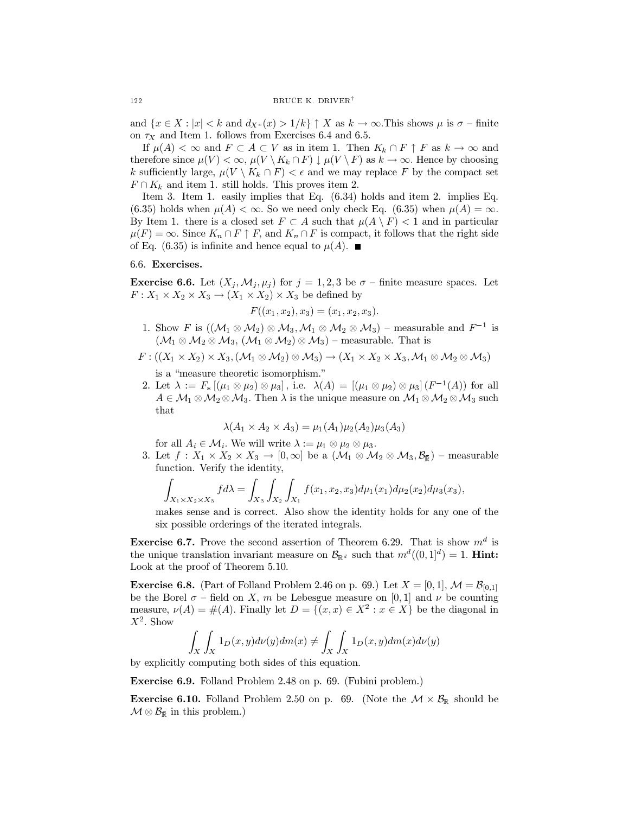and  $\{x \in X : |x| < k \text{ and } d_{X^c}(x) > 1/k\} \uparrow X \text{ as } k \to \infty$ . This shows  $\mu$  is  $\sigma$  -finite on  $\tau_X$  and Item 1. follows from Exercises 6.4 and 6.5.

If  $\mu(A) < \infty$  and  $F \subset A \subset V$  as in item 1. Then  $K_k \cap F \uparrow F$  as  $k \to \infty$  and therefore since  $\mu(V) < \infty$ ,  $\mu(V \setminus K_k \cap F) \downarrow \mu(V \setminus F)$  as  $k \to \infty$ . Hence by choosing k sufficiently large,  $\mu(V \setminus K_k \cap F) < \epsilon$  and we may replace F by the compact set  $F \cap K_k$  and item 1. still holds. This proves item 2.

Item 3. Item 1. easily implies that Eq.  $(6.34)$  holds and item 2. implies Eq. (6.35) holds when  $\mu(A) < \infty$ . So we need only check Eq. (6.35) when  $\mu(A) = \infty$ . By Item 1. there is a closed set  $F \subset A$  such that  $\mu(A \setminus F) < 1$  and in particular  $\mu(F) = \infty$ . Since  $K_n \cap F \uparrow F$ , and  $K_n \cap F$  is compact, it follows that the right side of Eq. (6.35) is infinite and hence equal to  $\mu(A)$ .

### 6.6. Exercises.

**Exercise 6.6.** Let  $(X_j, \mathcal{M}_j, \mu_j)$  for  $j = 1, 2, 3$  be  $\sigma$  – finite measure spaces. Let  $F: X_1 \times X_2 \times X_3 \to (X_1 \times X_2) \times X_3$  be defined by

$$
F((x_1, x_2), x_3) = (x_1, x_2, x_3).
$$

1. Show F is  $((\mathcal{M}_1 \otimes \mathcal{M}_2) \otimes \mathcal{M}_3, \mathcal{M}_1 \otimes \mathcal{M}_2 \otimes \mathcal{M}_3)$  – measurable and  $F^{-1}$  is  $(\mathcal{M}_1 \otimes \mathcal{M}_2 \otimes \mathcal{M}_3, (\mathcal{M}_1 \otimes \mathcal{M}_2) \otimes \mathcal{M}_3)$  – measurable. That is

$$
F: ((X_1 \times X_2) \times X_3, (\mathcal{M}_1 \otimes \mathcal{M}_2) \otimes \mathcal{M}_3) \to (X_1 \times X_2 \times X_3, \mathcal{M}_1 \otimes \mathcal{M}_2 \otimes \mathcal{M}_3)
$$

is a "measure theoretic isomorphism."

2. Let  $\lambda := F_*[(\mu_1 \otimes \mu_2) \otimes \mu_3]$ , i.e.  $\lambda(A) = [(\mu_1 \otimes \mu_2) \otimes \mu_3] (F^{-1}(A))$  for all  $A\in\mathcal{M}_1\otimes\mathcal{M}_2\otimes\mathcal{M}_3$ . Then  $\lambda$  is the unique measure on  $\mathcal{M}_1\otimes\mathcal{M}_2\otimes\mathcal{M}_3$  such that

$$
\lambda(A_1 \times A_2 \times A_3) = \mu_1(A_1)\mu_2(A_2)\mu_3(A_3)
$$

for all  $A_i \in \mathcal{M}_i$ . We will write  $\lambda := \mu_1 \otimes \mu_2 \otimes \mu_3$ .

3. Let  $f: X_1 \times X_2 \times X_3 \to [0, \infty]$  be a  $(\mathcal{M}_1 \otimes \mathcal{M}_2 \otimes \mathcal{M}_3, \mathcal{B}_{\overline{\mathbb{R}}})$  – measurable function. Verify the identity,

$$
\int_{X_1 \times X_2 \times X_3} f d\lambda = \int_{X_3} \int_{X_2} \int_{X_1} f(x_1, x_2, x_3) d\mu_1(x_1) d\mu_2(x_2) d\mu_3(x_3),
$$

makes sense and is correct. Also show the identity holds for any one of the six possible orderings of the iterated integrals.

**Exercise 6.7.** Prove the second assertion of Theorem 6.29. That is show  $m^d$  is the unique translation invariant measure on  $\mathcal{B}_{\mathbb{R}^d}$  such that  $m^d((0,1]^d) = 1$ . **Hint:** Look at the proof of Theorem 5.10.

**Exercise 6.8.** (Part of Folland Problem 2.46 on p. 69.) Let  $X = [0, 1], \mathcal{M} = \mathcal{B}_{[0,1]}$ be the Borel  $\sigma$  – field on X, m be Lebesgue measure on [0, 1] and  $\nu$  be counting measure,  $\nu(A) = \#(A)$ . Finally let  $D = \{(x, x) \in X^2 : x \in X\}$  be the diagonal in  $X^2$ . Show

$$
\int_X \int_X 1_D(x, y) d\nu(y) dm(x) \neq \int_X \int_X 1_D(x, y) dm(x) d\nu(y)
$$

by explicitly computing both sides of this equation.

**Exercise 6.9.** Folland Problem 2.48 on p. 69. (Fubini problem.)

**Exercise 6.10.** Folland Problem 2.50 on p. 69. (Note the  $\mathcal{M} \times \mathcal{B}_{\mathbb{R}}$  should be  $\mathcal{M} \otimes \mathcal{B}_{\bar{\mathbb{R}}}$  in this problem.)